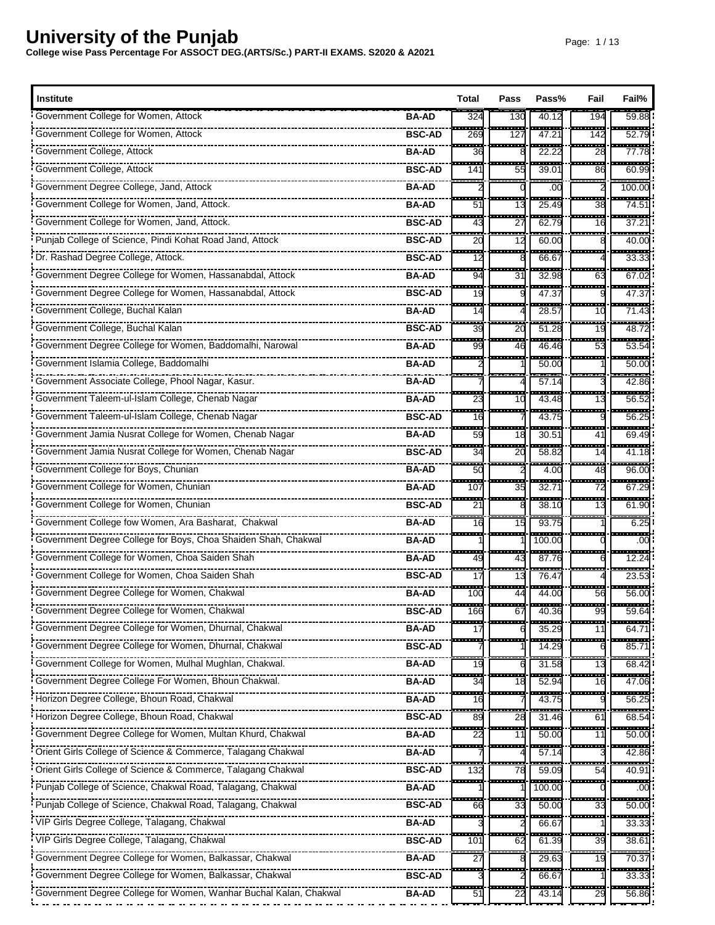| <b>Institute</b>                                                    |               | Total            | Pass                | Pass%                             | Fail                           | Fail%                 |
|---------------------------------------------------------------------|---------------|------------------|---------------------|-----------------------------------|--------------------------------|-----------------------|
| Government College for Women, Attock                                | <b>BA-AD</b>  | 324              | 130                 | 40.12                             | 194                            | 59.88                 |
| Government College for Women, Attock                                | <b>BSC-AD</b> | ł<br>269         | ---<br>127          | $\overline{\phantom{a}}$<br>47.21 | 142                            | ------<br>52.79       |
| Government College, Attock                                          | BA-AD         | ----<br>36       | -------             | .<br>22.22                        | ---------<br>28                | ------<br>77.78       |
| Government College, Attock                                          | <b>BSC-AD</b> | 141              | 55                  | 39.01                             | --<br>86                       | 60.99                 |
| Government Degree College, Jand, Attock                             | <b>BA-AD</b>  | ----             | ---                 | ------<br>.00                     | ------                         | -------<br>100.00     |
| Government College for Women, Jand, Attock.                         | <b>BA-AD</b>  | H<br>51          | ---<br>13           | .<br>25.49                        | -------<br>38                  | .<br>74.5'            |
| Government College for Women, Jand, Attock.                         | <b>BSC-AD</b> | ÷<br>43          | ÷<br>27             | ------<br>62.79                   | $\overline{\phantom{a}}$<br>16 | ------<br>37.21       |
| Punjab College of Science, Pindi Kohat Road Jand, Attock            | <b>BSC-AD</b> | ÷<br>20          | H<br>12             | 60.00                             |                                | 40.00                 |
| Dr. Rashad Degree College, Attock.                                  | <b>BSC-AD</b> | .<br>12          | ----                | -------<br>66.67                  |                                | ------<br>33.33       |
| Government Degree College for Women, Hassanabdal, Attock            | <b>BA-AD</b>  | ---<br>94        | ---<br>31           | 32.98                             | <del>.</del> .<br>63           | ------<br>67.02       |
| Government Degree College for Women, Hassanabdal, Attock            | <b>BSC-AD</b> | ---<br>19        | ----                | ------<br>47.37                   | --------                       | ------<br>47.37       |
| Government College, Buchal Kalan                                    | <b>BA-AD</b>  | <b>HH</b><br>14  |                     | .<br>28.57                        | a an<br>10                     | <u>.</u><br>71.43     |
| Government College, Buchal Kalan                                    | <b>BSC-AD</b> | <b>115</b><br>39 | ---<br>20           | 51.28                             | $\overline{\phantom{a}}$<br>19 | <br>48.72             |
| Government Degree College for Women, Baddomalhi, Narowal            | <b>BA-AD</b>  | 99               | ---<br>46           | 46.46                             | 55<br>53                       | ------<br>53.54       |
| Government Islamia College, Baddomalhi                              | <b>BA-AD</b>  |                  | ---                 | ------<br>50.00                   | --------                       | .<br>50.00            |
| Government Associate College, Phool Nagar, Kasur.                   | <b>BA-AD</b>  |                  |                     | ------<br>57.14                   |                                | ------<br>42.86       |
| Government Taleem-ul-Islam College, Chenab Nagar                    | <b>BA-AD</b>  | ----<br>23       | ---<br>10           | ------<br>43.48                   | -------<br>13                  | -----<br>56.52        |
| Government Taleem-ul-Islam College, Chenab Nagar                    | <b>BSC-AD</b> | m.<br>16         | -------             | ------<br>43.75                   | --------                       | .<br>56.2             |
| Government Jamia Nusrat College for Women, Chenab Nagar             | <b>BA-AD</b>  | .<br>59          | .<br>18             | 30.51                             | ------<br>41                   | ------<br>69.49       |
| Government Jamia Nusrat College for Women, Chenab Nagar             | <b>BSC-AD</b> | ÷<br>34          | ----<br>20          | ------<br>58.82                   | <del>.</del><br>14             | -------<br>41.18      |
| Government College for Boys, Chunian                                | <b>BA-AD</b>  | es este<br>50    |                     | $-$<br>4.00                       | -------<br>48                  | .<br>96.00            |
| Government College for Women, Chunian                               | <b>BA-AD</b>  | ---<br>107       | 35                  | ------<br>32.71                   | -------<br>72                  | --------<br>67.29     |
| Government College for Women, Chunian                               | <b>BSC-AD</b> | 2 <sup>1</sup>   |                     | 38.10                             | 13                             | 61.90                 |
|                                                                     | <b>BA-AD</b>  | $-$<br>16        | 15                  | ------<br>93.75                   |                                | 6.25                  |
|                                                                     | <b>BA-AD</b>  |                  |                     | ------<br>100.00                  |                                | ---------<br>.00      |
| Government College for Women, Choa Saiden Shah                      | <b>BA-AD</b>  | --<br>49         | 43                  | - <del>-----</del> -<br>87.76     |                                | ------<br>12.24       |
| • Government College for Women, Choa Saiden Shah                    | <b>BSC-AD</b> | 17               | 13                  | 76.47                             |                                | .<br>23.53            |
| Government Degree College for Women, Chakwal                        | <b>BA-AD</b>  | - - -<br>100     | <b>The Co</b><br>44 | .<br>44.00                        | .<br>56                        | ------<br>56.00       |
| Government Degree College for Women, Chakwal                        | <b>BSC-AD</b> | ---<br>166       | 67                  | 40.36                             | 99                             | -------<br>59.64      |
|                                                                     | BA-AD         | ---<br>17        |                     | -----<br>35.29                    | ---<br>11                      | ------<br>64.71       |
| Government Degree College for Women, Dhurnal, Chakwal               | <b>BSC-AD</b> |                  |                     | 14.29                             |                                | -------<br>85.7'      |
|                                                                     | <b>BA-AD</b>  | ---<br>19        |                     | .<br>31.58                        | <br>13                         | ------<br>68.42       |
|                                                                     | <b>BA-AD</b>  | 34               | 18                  | 52.94                             | 16                             | 47.06                 |
| Horizon Degree College, Bhoun Road, Chakwal                         | <b>BA-AD</b>  | ш.<br>16         |                     | 43.75                             |                                | -----<br>56.25        |
| Horizon Degree College, Bhoun Road, Chakwal                         | <b>BSC-AD</b> | 89               | 28                  | 31.46                             | ш.<br>61                       | <u>an an</u><br>68.54 |
| Government Degree College for Women, Multan Khurd, Chakwal          | <b>BA-AD</b>  | ш,<br>22         | 11                  | 50.00                             | 11                             | ----<br>50.00         |
| Orient Girls College of Science & Commerce, Talagang Chakwal        | <b>BA-AD</b>  |                  |                     | 57.14                             |                                | 42.86                 |
| Orient Girls College of Science & Commerce, Talagang Chakwal        | <b>BSC-AD</b> | 132              | 78                  | 59.09                             | 54                             | 40.91                 |
| Punjab College of Science, Chakwal Road, Talagang, Chakwal          | <b>BA-AD</b>  |                  |                     | 100.00                            |                                | .00                   |
| Punjab College of Science, Chakwal Road, Talagang, Chakwal          | <b>BSC-AD</b> | 66               | 33                  | 50.00                             | 33                             | 50.00                 |
| VIP Girls Degree College, Talagang, Chakwal                         | <b>BA-AD</b>  |                  |                     | 66.67                             |                                | ------<br>33.33       |
| VIP Girls Degree College, Talagang, Chakwal                         | <b>BSC-AD</b> | 101              | 62                  | 61.39                             | 39                             | 38.61                 |
| Government Degree College for Women, Balkassar, Chakwal             | <b>BA-AD</b>  | H<br>27          |                     | $\frac{1}{29.63}$                 | ---<br>19                      | ------<br>70.37       |
|                                                                     | <b>BSC-AD</b> | <b>TER</b>       |                     | .<br>66.67                        | -------                        | ------<br>33.33       |
| . Government Degree College for Women, Wanhar Buchal Kalan, Chakwal | <b>BA-AD</b>  | 51               | 22                  | 43.1                              | 29                             | 56.86                 |
|                                                                     |               |                  |                     |                                   |                                |                       |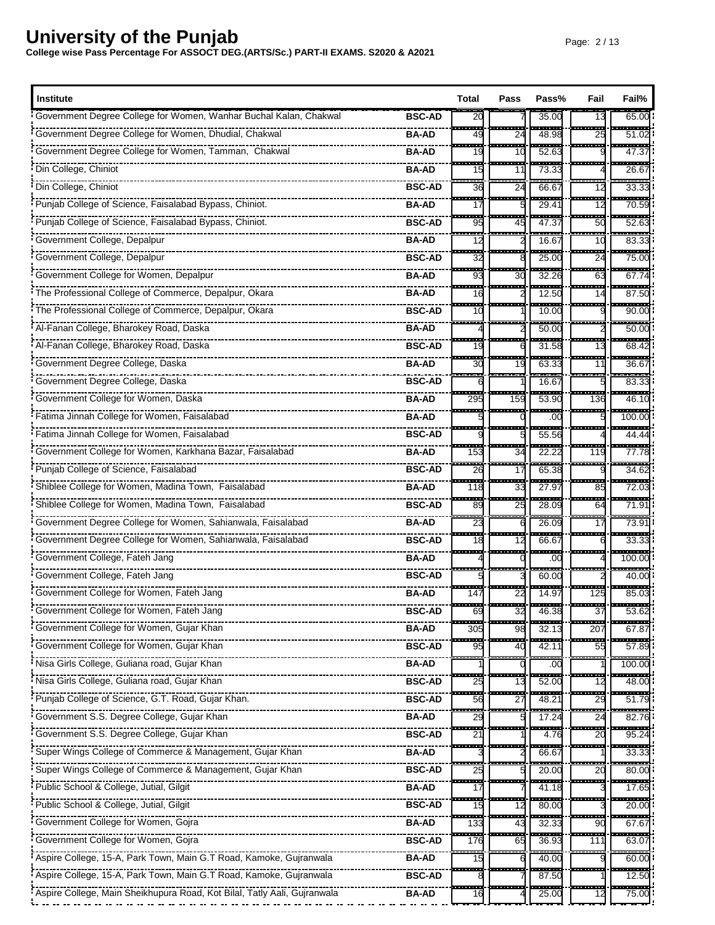| <b>Institute</b>                                                         |               | Total               | Pass                   | Pass%           | Fail                           | Fail%                             |
|--------------------------------------------------------------------------|---------------|---------------------|------------------------|-----------------|--------------------------------|-----------------------------------|
| Government Degree College for Women, Wanhar Buchal Kalan, Chakwal        | <b>BSC-AD</b> | 20<br>m.            | - - -                  | 35.00           | 13<br>---                      | 65.00<br>-----                    |
|                                                                          | <b>BA-AD</b>  | 49                  | 24                     | 48.98           | 25                             | 51.02                             |
|                                                                          | <b>BA-AD</b>  | <b>TELES</b><br>19  | an an<br>10            | ------<br>52.63 | an an<br><del>.</del>          | ------<br>47.37                   |
| Din College, Chiniot                                                     | <b>BA-AD</b>  | <br>15              | ----<br>11             | 73.33           |                                | -----<br>26.6                     |
| Din College, Chiniot                                                     | <b>BSC-AD</b> | <br>36              | <br>24                 | ----<br>66.6    | $\overline{\phantom{a}}$<br>12 | <br>33.3                          |
| Punjab College of Science, Faisalabad Bypass, Chiniot.                   | <b>BA-AD</b>  | a an a<br>17        | -------                | 29.41           | -------<br>12                  | ------<br>70.59                   |
|                                                                          | <b>BSC-AD</b> | ---<br>95           | ---<br>45              | ------<br>47.37 | $-11111$<br>50                 | -------<br>52.63                  |
| Government College, Depalpur                                             | <b>BA-AD</b>  | œ.<br>12            |                        | 16.67           | $-1$<br>10                     | .<br>83.33                        |
| Government College, Depalpur                                             | <b>BSC-AD</b> | .<br>32             | --------               | ------<br>25.00 | --------<br>24                 | -------<br>75.00                  |
| Government College for Women, Depalpur                                   | <b>BA-AD</b>  | 93                  | 30                     | 32.26           | 63                             | ------<br>67.74                   |
| The Professional College of Commerce, Depalpur, Okara                    | <b>BA-AD</b>  | ---<br>16           |                        | 12.50           | $-$<br>14                      | <del>.</del><br>87.50             |
|                                                                          | <b>BSC-AD</b> | <b>STAR</b><br>10   |                        | 10.00           |                                | 222272<br>90.00                   |
|                                                                          | <b>BA-AD</b>  |                     |                        | 50.00           |                                | -----<br>50.00                    |
|                                                                          | <b>BSC-AD</b> | 19                  | 6                      | 31.58           | $\overline{13}$                | 68.42                             |
| Government Degree College, Daska                                         | <b>BA-AD</b>  | an an<br>30         | <b>START</b><br>19     | .<br>63.33      | -----<br>11                    | .<br>36.6                         |
| Government Degree College, Daska                                         | <b>BSC-AD</b> |                     |                        | 16.67           |                                | -----<br>83.33                    |
| Government College for Women, Daska                                      | <b>BA-AD</b>  | ---<br>295          | -----<br>159           | ------<br>53.90 | ------<br>136                  | -----<br>46.10                    |
|                                                                          | <b>BA-AD</b>  |                     |                        | .00             |                                | $\frac{1}{100.00}$                |
|                                                                          | <b>BSC-AD</b> |                     |                        | ------<br>55.56 |                                | -------<br>44.44                  |
| Government College for Women, Karkhana Bazar, Faisalabad                 | <b>BA-AD</b>  | ÷<br>153            | 34                     | 22.22           | 119                            | ------<br>77.78                   |
| Punjab College of Science, Faisalabad                                    | <b>BSC-AD</b> | ----<br>26          | ---<br>17              | ----<br>65.38   | tan di Kabupatén Baga<br>9     | $- - - -$<br>34.62                |
| Shiblee College for Women, Madina Town, Faisalabad                       | <b>BA-AD</b>  | a an a<br>118       | m a<br>33              | 27.97           | a an<br>85                     | ------<br>72.03                   |
| Shiblee College for Women, Madina Town, Faisalabad                       | <b>BSC-AD</b> | ----<br>89          | ---<br>25              | ------<br>28.09 | <del>.</del><br>64             | -------<br>71.91                  |
| Government Degree College for Women, Sahianwala, Faisalabad              | <b>BA-AD</b>  | ---<br>23           |                        | 26.09           | ---<br>17                      | <br>73.91                         |
| Covernment Degree College for Women, Sahianwala, Faisalabad              | <b>BSC-AD</b> | <b>STAR</b><br>18   | <b>TELES</b><br>12     | .<br>66.67      | -------                        | .<br>33.33                        |
| Government College, Fateh Jang                                           | <b>BA-AD</b>  |                     |                        | .00             |                                | 100.00                            |
| Government College, Fateh Jang                                           | <b>BSC-AD</b> |                     |                        | 60.00           |                                | 40.00                             |
| Government College for Women, Fateh Jang                                 | <b>BA-AD</b>  | ---<br>147          | 22                     | 14.97           | .<br>125                       | ------<br>85.03                   |
| Government College for Women, Fateh Jang                                 | <b>BSC-AD</b> | <del>.</del><br>69  | <del>-----</del><br>32 | 46.38           | 37                             | ------<br>53.62                   |
|                                                                          | <b>BA-AD</b>  | ----<br>305         | œ<br>98                | .<br>32.13      | ------<br>207                  | <del>.</del><br>67.87             |
| Government College for Women, Gujar Khan                                 | <b>BSC-AD</b> | 95                  | 40                     | 42.11           | 55                             | -----<br>57.89                    |
|                                                                          | <b>BA-AD</b>  |                     |                        | .00             |                                | 100.00                            |
|                                                                          | <b>BSC-AD</b> | 25                  | 13                     | 52.00           | 12                             | 48.00                             |
|                                                                          | <b>BSC-AD</b> | 56                  | 27                     | 48.21           | ---<br>29                      | 51.79                             |
| Government S.S. Degree College, Gujar Khan                               | <b>BA-AD</b>  | 29                  |                        | 17.24           | 24                             | 82.76                             |
| Government S.S. Degree College, Gujar Khan                               | <b>BSC-AD</b> | H<br>2 <sup>1</sup> |                        | 4.76            | 20                             | 95.24                             |
| Super Wings College of Commerce & Management, Gujar Khan                 | <b>BA-AD</b>  |                     |                        | 66.67           |                                | 33.33                             |
| Super Wings College of Commerce & Management, Gujar Khan                 | <b>BSC-AD</b> | H<br>25             |                        | -----<br>20.00  | -----<br>20                    | ------<br>80.00                   |
| Public School & College, Jutial, Gilgit                                  | <b>BA-AD</b>  | 17                  |                        | 41.18           |                                | 17.65                             |
| Public School & College, Jutial, Gilgit                                  | <b>BSC-AD</b> | ---<br>15           | 12                     | 80.00           |                                | $\frac{1}{20.00}$                 |
|                                                                          | <b>BA-AD</b>  | H<br>133            | 43                     | 32.33           | 90                             | 67.67                             |
| Government College for Women, Gojra                                      | <b>BSC-AD</b> | <br>176             | H<br>65                | 36.93           | 111                            | $\overline{\phantom{a}}$<br>63.07 |
| Aspire College, 15-A, Park Town, Main G.T Road, Kamoke, Gujranwala       | <b>BA-AD</b>  | 15                  |                        | 40.00           |                                | 60.00                             |
| Aspire College, 15-A, Park Town, Main G.T Road, Kamoke, Gujranwala       | <b>BSC-AD</b> | <b>COLO</b>         |                        | .<br>87.50      |                                | .<br>12.50                        |
| Aspire College, Main Sheikhupura Road, Kot Bilal, Tatly Aali, Gujranwala | <b>BA-AD</b>  | 16                  |                        | 25.00           | 12                             | 75.00                             |
|                                                                          |               |                     |                        |                 |                                |                                   |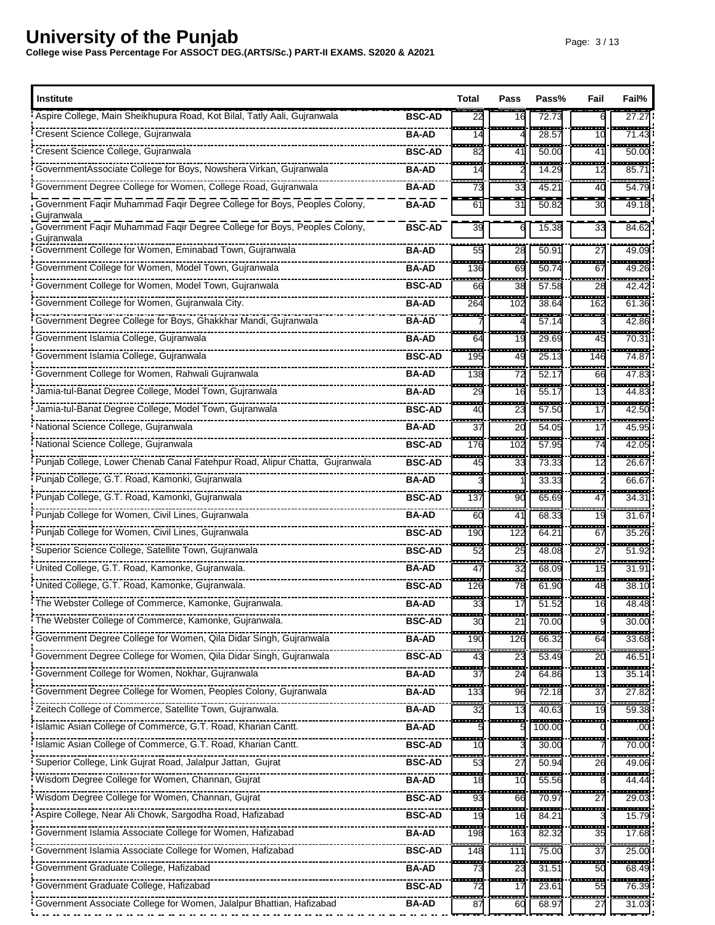| <b>Institute</b>                                                                                     |               | Total                           | Pass               | Pass%                  | Fail                      | Fail%             |
|------------------------------------------------------------------------------------------------------|---------------|---------------------------------|--------------------|------------------------|---------------------------|-------------------|
| Aspire College, Main Sheikhupura Road, Kot Bilal, Tatly Aali, Gujranwala                             | <b>BSC-AD</b> | 22                              | 16                 | 72.73                  |                           | 27.27             |
| Cresent Science College, Gujranwala                                                                  | <b>BA-AD</b>  | ---<br>14                       |                    | 28.57                  | .<br>10                   | -----<br>71.43    |
| Cresent Science College, Gujranwala                                                                  | <b>BSC-AD</b> | ---<br>82                       | 41                 | ------<br>50.00        | -------<br>41             | -------<br>50.00  |
| GovernmentAssociate College for Boys, Nowshera Virkan, Gujranwala                                    | <b>BA-AD</b>  | 14                              |                    | 14.29                  | ---<br>12                 | $85.7^{\circ}$    |
| Government Degree College for Women, College Road, Gujranwala                                        | <b>BA-AD</b>  | .<br>73                         | ---<br>33          | 45.21                  | $\frac{1}{2}$<br>40       | 54.79             |
| Government Faqir Muhammad Faqir Degree College for Boys, Peoples Colony,                             | <b>BA-AD</b>  | 61                              | 31                 | 50.82                  | 30                        | 49.18             |
| Gujranwala<br>Government Faqir Muhammad Faqir Degree College for Boys, Peoples Colony,<br>Gujranwala | <b>BSC-AD</b> | 39                              | 6                  | 15.38                  | 33                        | 84.62             |
| Government College for Women, Eminabad Town, Gujranwala                                              | BA-AD         | 55                              | 28                 | 50.91                  | $\overline{27}$           | 49.09             |
| Government College for Women, Model Town, Gujranwala                                                 | <b>BA-AD</b>  | ÷<br>136                        | 69                 | 50.74                  | 67                        | 49.26             |
| Government College for Women, Model Town, Gujranwala                                                 | <b>BSC-AD</b> | ÷<br>66                         | $\sim$<br>38       | -----<br>57.58         | ---<br>28                 | -----<br>42.42    |
| Government College for Women, Gujranwala City.                                                       | BA-AD         | H<br>264                        | 102                | 38.64                  | <b>TERR</b><br>162        | ------<br>61.36   |
|                                                                                                      | <b>BA-AD</b>  | ----                            | ---                | ------<br>57.14        | -----                     | $\frac{1}{42.86}$ |
| Government Islamia College, Gujranwala                                                               | <b>BA-AD</b>  | 64                              | 19                 | 29.69                  | <br>45                    | $\frac{1}{70.31}$ |
| Government Islamia College, Gujranwala                                                               | <b>BSC-AD</b> | a sa s<br>195                   | <b>TELES</b><br>49 | .<br>25.13             | <u> 1989 - 198</u><br>146 | ------<br>74.87   |
| Government College for Women, Rahwali Gujranwala                                                     | <b>BA-AD</b>  | ŀ<br>138                        | 72                 | 52.17                  | 66                        | 47.83             |
| Jamia-tul-Banat Degree College, Model Town, Gujranwala                                               | <b>BA-AD</b>  | ----<br>29                      | ÷<br>16            | ------<br>55.17        | ----<br>13                | ------<br>44.83   |
| Jamia-tul-Banat Degree College, Model Town, Gujranwala                                               | <b>BSC-AD</b> | 40                              | <b>COLOR</b><br>23 | 57.50                  | <b>STAR</b><br>17         | -----<br>42.50    |
| National Science College, Gujranwala                                                                 | BA-AD         | ma a<br>37                      | ш.<br>20           | ------<br>54.05        | ---<br>17                 | -----<br>45.95    |
| National Science College, Gujranwala                                                                 | <b>BSC-AD</b> | $\overline{\phantom{a}}$<br>176 | .<br>102           | 57.95                  | ---<br>74                 | 42.05             |
| Punjab College, Lower Chenab Canal Fatehpur Road, Alipur Chatta, Gujranwala                          | <b>BSC-AD</b> | ----<br>45                      | an an<br>33        | ------<br>73.33        | .<br>12                   | .<br>26.67        |
| Punjab College, G.T. Road, Kamonki, Gujranwala                                                       | <b>BA-AD</b>  |                                 |                    | 33.33                  | 533                       | 66.67             |
| Punjab College, G.T. Road, Kamonki, Gujranwala                                                       | <b>BSC-AD</b> | 137                             | 90                 | 65.69                  | ᇹ<br>47                   | 34.31             |
| Punjab College for Women, Civil Lines, Gujranwala                                                    | <b>BA-AD</b>  | a a s<br>60                     | man an<br>41       | 68.33                  | ---<br>19                 | ------<br>31.67   |
| Punjab College for Women, Civil Lines, Gujranwala                                                    | <b>BSC-AD</b> | ana.<br>190                     | $-1$<br>122        | 64.21                  | --------<br>67            | -----<br>35.26    |
| Superior Science College, Satellite Town, Gujranwala                                                 | <b>BSC-AD</b> | ŀ<br>52                         | œ<br>25            | 48.08                  | a an<br>27                | ------<br>51.92   |
| United College, G.T. Road, Kamonke, Gujranwala.                                                      | BA-AD         | ---<br>47                       | e e c<br>32        | 68.09                  | an an<br>15               | -----<br>31.91    |
|                                                                                                      | <b>BSC-AD</b> | ----<br>126                     | .<br>78            | ------<br>61.90        | -------<br>48             | -------<br>38.10  |
| The Webster College of Commerce, Kamonke, Gujranwala.                                                | <b>BA-AD</b>  | <u> 1999 - 19</u><br>33         | $- - -$<br>17      | 51.52                  | ---<br>16                 | -------<br>48.48  |
|                                                                                                      | <b>BSC-AD</b> | $\overline{\phantom{a}}$<br>30  | .                  | <br>70.00              |                           | --------<br>30.00 |
| Government Degree College for Women, Qila Didar Singh, Gujranwala                                    | <b>BA-AD</b>  | 190                             | 126                | 66.32                  | 64                        | 33.68             |
| Government Degree College for Women, Qila Didar Singh, Gujranwala                                    | <b>BSC-AD</b> | 43                              | 23                 | 53.49                  | 20                        | ------<br>46.51   |
| Government College for Women, Nokhar, Gujranwala                                                     | BA-AD         | 37                              | 24                 | 64.86                  | 13                        | 35.14             |
| Government Degree College for Women, Peoples Colony, Gujranwala                                      | <b>BA-AD</b>  | .<br>133                        | İ<br>96            | 72.18                  | a a s<br>37               | .<br>27.82        |
|                                                                                                      | <b>BA-AD</b>  | 32                              | 13                 | 40.63                  | 19                        | 59.38             |
| Islamic Asian College of Commerce, G.T. Road, Kharian Cantt.                                         | <b>BA-AD</b>  |                                 |                    | 100.00                 |                           | --<br>.00         |
| Islamic Asian College of Commerce, G.T. Road, Kharian Cantt.                                         | <b>BSC-AD</b> | 10                              |                    | 30.00                  |                           | 70.00             |
| Superior College, Link Gujrat Road, Jalalpur Jattan, Gujrat                                          | <b>BSC-AD</b> | H<br>53                         | 27                 | 50.94                  | H<br>26                   | $\frac{1}{49.06}$ |
| wisdom Degree College for Women, Channan, Gujrat                                                     | BA-AD         | 18                              | 10                 | $\frac{1}{55.56}$      |                           | 44.44             |
| Wisdom Degree College for Women, Channan, Gujrat                                                     | <b>BSC-AD</b> | H<br>93                         | ÷<br>66            | 70.97                  | H<br>27                   | -----<br>29.03    |
|                                                                                                      | <b>BSC-AD</b> | 19                              | 16                 | 84.21                  |                           | ------<br>15.79   |
| Government Islamia Associate College for Women, Hafizabad                                            | <b>BA-AD</b>  | 198                             | 163                | 82.32                  | 35                        | 17.68             |
| Government Islamia Associate College for Women, Hafizabad                                            | <b>BSC-AD</b> | 148                             | 111                | 75.00                  | 37                        | 25.00             |
| Government Graduate College, Hafizabad                                                               | BA-AD         | a a s<br>73                     | 23                 | <b>THE 25</b><br>31.51 | a an<br>50                | .<br>68.49        |
| Government Graduate College, Hafizabad                                                               | <b>BSC-AD</b> | 72                              | 17                 | 23.61                  | 55                        | 76.39             |
| Government Associate College for Women, Jalalpur Bhattian, Hafizabad                                 | BA-AD         | ---<br>87                       | 60                 | 68.97                  | 27                        | 31.03             |
|                                                                                                      |               |                                 |                    |                        |                           |                   |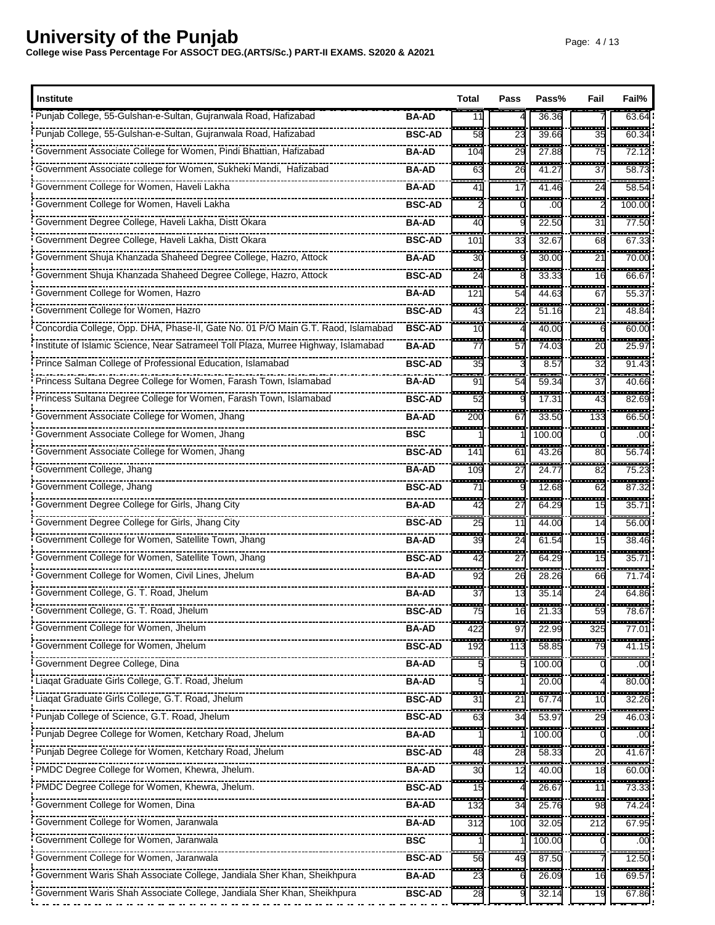| <b>Institute</b>                                                                   |               | Total                           | Pass                           | Pass%                   | Fail                           | Fail%                           |
|------------------------------------------------------------------------------------|---------------|---------------------------------|--------------------------------|-------------------------|--------------------------------|---------------------------------|
| Punjab College, 55-Gulshan-e-Sultan, Gujranwala Road, Hafizabad                    | <b>BA-AD</b>  | 11<br>-----                     | -------                        | 36.36<br>-----          |                                | 63.64<br>------                 |
| Punjab College, 55-Gulshan-e-Sultan, Gujranwala Road, Hafizabad                    | <b>BSC-AD</b> | 58<br>-----                     | 23<br>--------                 | 39.66<br>-------        | 35<br>--------                 | 60.34<br>--------               |
|                                                                                    | <b>BA-AD</b>  | 104                             | 29                             | 27.88                   | 75                             | 72.12                           |
| Government Associate college for Women, Sukheki Mandi, Hafizabad                   | <b>BA-AD</b>  | 63                              | 26<br>.                        | 41.27                   | 37                             | 58.7<br>------                  |
| Government College for Women, Haveli Lakha                                         | <b>BA-AD</b>  | a an<br>41<br>m.                | 17                             | 41.46                   | ----<br>24                     | 58.54<br>.                      |
| Government College for Women, Haveli Lakha                                         | <b>BSC-AD</b> |                                 |                                | ------<br>.00           |                                | 100.00                          |
| Government Degree College, Haveli Lakha, Distt Okara                               | BA-AD         | $- - -$<br>40                   |                                | 22.50                   | ---<br>31                      | <del>.</del><br>77.50           |
| Government Degree College, Haveli Lakha, Distt Okara                               | <b>BSC-AD</b> | 101                             | 33<br>.                        | 32.67<br><u>ia ma</u> n | 68                             | 67.33                           |
| Government Shuja Khanzada Shaheed Degree College, Hazro, Attock                    | <b>BA-AD</b>  | ----<br>30                      |                                | 30.00                   | -------<br>21<br>---           | ------<br>70.00                 |
| Government Shuja Khanzada Shaheed Degree College, Hazro, Attock                    | <b>BSC-AD</b> | ---<br>24                       | 8                              | $\frac{1}{33.33}$       | 16<br>an an a                  | ------<br>66.67                 |
| Government College for Women, Hazro                                                | BA-AD         | ----<br>121                     | H<br>54                        | $- - - -$<br>44.63      | 67                             | ------<br>55.37                 |
|                                                                                    | <b>BSC-AD</b> | i.<br>43                        | ÷<br>22                        | 51.16                   | a a sa<br>21                   | ------<br>48.84                 |
| Concordia College, Opp. DHA, Phase-II, Gate No. 01 P/O Main G.T. Raod, Islamabad   | <b>BSC-AD</b> | ÷<br>10                         | .                              | -----<br>40.00          | . <u>.</u><br>6                | ------<br>60.00                 |
| Institute of Islamic Science, Near Satrameel Toll Plaza, Murree Highway, Islamabad | <b>BA-AD</b>  | 77                              | 57                             | $\frac{1}{74.03}$       | ł<br>20                        | 25.97                           |
| Prince Salman College of Professional Education, Islamabad                         | <b>BSC-AD</b> | ---<br>35                       | .                              | ------<br>8.57          | .<br>32                        | ------<br>91.43                 |
| Princess Sultana Degree College for Women, Farash Town, Islamabad                  | <b>BA-AD</b>  | œ<br>91                         | 54                             | 59.34                   | $\overline{\phantom{a}}$<br>37 | ------<br>40.66                 |
| Princess Sultana Degree College for Women, Farash Town, Islamabad                  | <b>BSC-AD</b> | ÷,<br>52                        |                                | 17.31                   | . <u>.</u><br>43               | ------<br>82.69                 |
| covernment Associate College for Women, Jhang                                      | BA-AD         | ---<br>200                      | 67                             | 33.50                   | ----<br>133                    | -------<br>66.50                |
| Government Associate College for Women, Jhang                                      | <b>BSC</b>    | a an a                          | --------                       | 100.00                  | --------                       | -------<br>.00                  |
| Government Associate College for Women, Jhang                                      | <b>BSC-AD</b> | $\overline{\phantom{a}}$<br>141 | 61                             | 43.26                   | H<br>80                        | -----<br>56.74                  |
| Government College, Jhang                                                          | <b>BA-AD</b>  | ----<br>109                     | ---<br>27                      | 24.77                   | $-$<br>82                      | .<br>75.23                      |
| Government College, Jhang                                                          | <b>BSC-AD</b> | ----<br>71                      | an an a                        | -------<br>12.68        | ---<br>62                      | ------<br>87.32                 |
| Government Degree College for Girls, Jhang City                                    | <b>BA-AD</b>  | ----<br>42                      | ----<br>27                     | 64.29                   | -------<br>15                  | ------<br>35.7                  |
| Government Degree College for Girls, Jhang City                                    | <b>BSC-AD</b> | .<br>25                         | $\overline{\phantom{a}}$<br>11 | 44.00                   | .<br>14                        | .<br>56.0                       |
|                                                                                    | <b>BA-AD</b>  | an a<br>39                      | -------<br>24                  | .<br>61.54              | --------<br>15                 | -------<br>38.46                |
| Government College for Women, Satellite Town, Jhang                                | <b>BSC-AD</b> | .<br>42                         | <br>27                         | -------<br>64.29        | -------<br>15                  | <del>.</del><br>$35.7^{\circ}$  |
| Government College for Women, Civil Lines, Jhelum                                  | <b>BA-AD</b>  | Ē.<br>92                        | 26                             | 28.26                   | 66                             | $-1111$<br>71.74                |
| Government College, G. T. Road, Jhelum                                             | <b>BA-AD</b>  | <b>The Co</b><br>37             | a an a<br>13                   | 35.14                   | a an<br>24                     | -------<br>64.86                |
| Government College, G. T. Road, Jhelum                                             | <b>BSC-AD</b> | ------<br>75                    | 16                             | 21.33                   | 59                             | 78.67                           |
| Government College for Women, Jhelum                                               | <b>BA-AD</b>  | ----<br>422                     | ---<br>97                      | 22.99                   | -----<br>325                   | -------<br>77.01                |
| Government College for Women, Jhelum                                               | <b>BSC-AD</b> | 192                             | 113                            | 58.85                   | 79                             | 41.15                           |
| Government Degree College, Dina                                                    | BA-AD         |                                 |                                | 100.00                  |                                | $\overline{\phantom{a}}$<br>.oc |
|                                                                                    | <b>BA-AD</b>  |                                 |                                | 20.00                   |                                | 80.00                           |
| Liaqat Graduate Girls College, G.T. Road, Jhelum                                   | <b>BSC-AD</b> | i<br>31                         | ļ<br>2 <sup>1</sup>            | ----<br>67.74           | H<br>10                        | 32.26                           |
| Punjab College of Science, G.T. Road, Jhelum                                       | <b>BSC-AD</b> | 63                              | 34                             | $\frac{1}{53.97}$       | 29                             | 46.03                           |
| Punjab Degree College for Women, Ketchary Road, Jhelum                             | <b>BA-AD</b>  |                                 |                                | . <b>.</b> .<br>100.00  |                                | -----<br>.oc                    |
|                                                                                    | <b>BSC-AD</b> | 48                              | 28                             | 58.33                   | 20                             | 41.67                           |
| PMDC Degree College for Women, Khewra, Jhelum.                                     | <b>BA-AD</b>  | 55<br>30                        | ÷<br>12                        | <b>BARB</b><br>40.00    | <br>18                         | ------<br>60.00                 |
|                                                                                    | <b>BSC-AD</b> | 15                              |                                | 26.67                   | 11                             | 73.33                           |
| Government College for Women, Dina                                                 | <b>BA-AD</b>  | ŀ<br>132                        | ŀ<br>34                        | 25.76                   | $\overline{\phantom{a}}$<br>98 | 74.24                           |
| Government College for Women, Jaranwala                                            | <b>BA-AD</b>  | 312                             | 100                            | 32.05                   | 212                            | 67.95                           |
| Government College for Women, Jaranwala                                            | <b>BSC</b>    |                                 |                                | 100.00                  |                                | .oc                             |
| Government College for Women, Jaranwala                                            | <b>BSC-AD</b> | 56                              | 49                             | 87.50                   |                                | <br>12.50                       |
| Government Waris Shah Associate College, Jandiala Sher Khan, Sheikhpura            | <b>BA-AD</b>  | ш.<br>23                        |                                | 26.09                   | <b>COL</b><br>16               | -----<br>69.57                  |
| Government Waris Shah Associate College, Jandiala Sher Khan, Sheikhpura            | <b>BSC-AD</b> | 28                              |                                | 32.14                   | H<br>19                        | 67.86                           |
|                                                                                    |               |                                 |                                |                         |                                |                                 |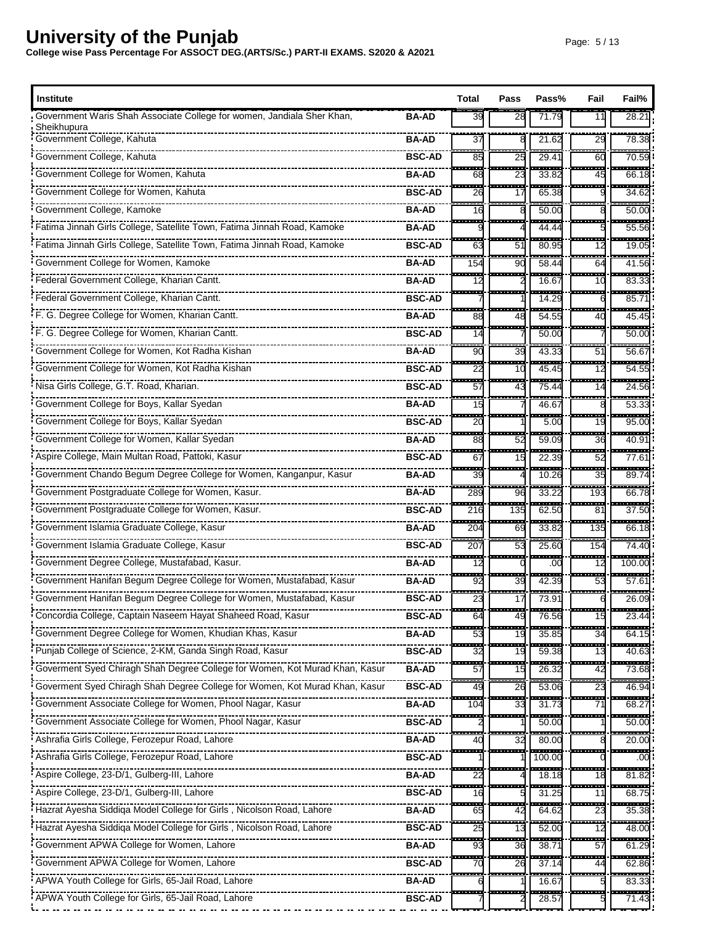| <b>Institute</b>                                                                      |               | Total       | Pass                           | Pass%            | Fail                           | Fail%                           |
|---------------------------------------------------------------------------------------|---------------|-------------|--------------------------------|------------------|--------------------------------|---------------------------------|
| Government Waris Shah Associate College for women, Jandiala Sher Khan,<br>Sheikhupura | <b>BA-AD</b>  | 39          | 28                             | 71.79            | 11                             | 28.21                           |
| Government College, Kahuta                                                            | <b>BA-AD</b>  | 37          | ------                         | 21.62<br>-----   | 29                             | 78.38                           |
| Government College, Kahuta                                                            | <b>BSC-AD</b> | ---<br>85   | 25                             | 29.41            | ------<br>60                   | ------<br>70.59                 |
| Government College for Women, Kahuta                                                  | <b>BA-AD</b>  | .<br>68     | an an<br>23                    | ------<br>33.82  | -----<br>45                    | <del>.</del><br>66.18           |
| Government College for Women, Kahuta                                                  | <b>BSC-AD</b> | 26          | 17                             | 65.38            |                                | ------<br>34.62                 |
| Government College, Kamoke                                                            | <b>BA-AD</b>  | $-$<br>16   |                                | .<br>50.00       |                                | ------<br>50.00                 |
| Fatima Jinnah Girls College, Satellite Town, Fatima Jinnah Road, Kamoke               | <b>BA-AD</b>  | ----        |                                | 44.44            |                                | ------<br>55.56                 |
| Fatima Jinnah Girls College, Satellite Town, Fatima Jinnah Road, Kamoke               | <b>BSC-AD</b> | 63          | 51                             | 80.95            | $-1$<br>12                     | -----<br>19.05                  |
| Government College for Women, Kamoke                                                  | <b>BA-AD</b>  | H<br>154    | 90                             | 58.44            | ---<br>64                      | ------<br>41.56                 |
| Federal Government College, Kharian Cantt.                                            | <b>BA-AD</b>  | ----<br>12  | .                              | -------<br>16.67 | -------<br>10                  | 83.33                           |
| Federal Government College, Kharian Cantt.                                            | <b>BSC-AD</b> | فسيره       |                                | 14.29            | 6                              | ------<br>85.7                  |
| F. G. Degree College for Women, Kharian Cantt.                                        | <b>BA-AD</b>  | .<br>88     | $\overline{\phantom{a}}$<br>48 | .<br>54.55       | ------<br>40                   | -----<br>45.45                  |
| F. G. Degree College for Women, Kharian Cantt.                                        | <b>BSC-AD</b> | ш.<br>14    |                                | .<br>50.00       | .                              | ------<br>50.00                 |
| Government College for Women, Kot Radha Kishan                                        | BA-AD         | ---<br>90   | -------<br>39                  | -------<br>43.33 | <u>.</u><br>51                 | ------<br>56.67                 |
| Government College for Women, Kot Radha Kishan                                        | <b>BSC-AD</b> | ŀ<br>22     | ---<br>10                      | 45.45            | <br>12                         | ------<br>54.55                 |
| Nisa Girls College, G.T. Road, Kharian.                                               | <b>BSC-AD</b> | ---<br>57   | $\sim$<br>43                   | .<br>75.44       | -------<br>14                  | ------<br>24.56                 |
| Government College for Boys, Kallar Syedan                                            | <b>BA-AD</b>  | ш×<br>15    |                                | 46.67            | <b>BRA</b>                     | ------<br>53.33                 |
| Government College for Boys, Kallar Syedan                                            | <b>BSC-AD</b> | ----<br>20  | --------                       | -------<br>5.00  | <del>.</del><br>19             | ------<br>95.00                 |
| Government College for Women, Kallar Syedan                                           | <b>BA-AD</b>  | man.<br>88  | <b>START</b><br>52             | ,,,,,,,<br>59.09 | --------<br>36                 | ------<br>40.91                 |
| Aspire College, Main Multan Road, Pattoki, Kasur                                      | <b>BSC-AD</b> | ---<br>67   | æ.<br>15                       | 22.39            | -------<br>52                  | .<br>77.61                      |
| Government Chando Begum Degree College for Women, Kanganpur, Kasur                    | <b>BA-AD</b>  | ---<br>39   |                                | 10.26            | ---<br>35                      | ------<br>89.74                 |
| Government Postgraduate College for Women, Kasur.                                     | <b>BA-AD</b>  | ---<br>289  | ----<br>96                     | 33.22            | -------<br>193                 | ------<br>66.78                 |
| Government Postgraduate College for Women, Kasur.                                     | <b>BSC-AD</b> | ---<br>216  | ---<br>135                     | -------<br>62.50 | <u>.</u><br>81                 | -------<br>37.50                |
| Government Islamia Graduate College, Kasur                                            | <b>BA-AD</b>  | ----<br>204 | ---<br>69                      | 33.82            | ------<br>135                  | ------<br>66.18                 |
| Government Islamia Graduate College, Kasur                                            | <b>BSC-AD</b> | ----<br>207 | ----<br>53                     | -------<br>25.60 | --------<br>154                | --------<br>74.40               |
| Government Degree College, Mustafabad, Kasur.                                         | <b>BA-AD</b>  | ----<br>12  | --------                       | -------<br>.00   | --------<br>12                 | <br>100.00                      |
| Government Hanifan Begum Degree College for Women, Mustafabad, Kasur                  | <b>BA-AD</b>  | <br>92      | <br>39                         | -------<br>42.39 | --------<br>53                 | -------<br>57.61                |
| Government Hanifan Begum Degree College for Women, Mustafabad, Kasur                  | <b>BSC-AD</b> | 23          | 17                             | 73.91            |                                | 26.09                           |
| Concordia College, Captain Naseem Hayat Shaheed Road, Kasur                           | <b>BSC-AD</b> | 64          | 49                             | 76.56            | 15                             | 23.44                           |
| Government Degree College for Women, Khudian Khas, Kasur                              | BA-AD         | 53          | 19                             | 35.85            | 34                             | 64.15                           |
|                                                                                       | <b>BSC-AD</b> | H<br>32     | ŀ<br>19                        | 59.38            | $\overline{\phantom{a}}$<br>13 | -------<br>40.63                |
|                                                                                       | <b>BA-AD</b>  | ŀ<br>57     | 15                             | 26.32            | 42                             | 73.68                           |
|                                                                                       | <b>BSC-AD</b> | H<br>49     | H<br>26                        | 53.06            | a a su<br>23                   | 46.94                           |
| Government Associate College for Women, Phool Nagar, Kasur                            | <b>BA-AD</b>  | 104         | 33                             | 31.73            | 71                             | 68.27                           |
| Government Associate College for Women, Phool Nagar, Kasur                            | <b>BSC-AD</b> |             |                                | 50.00            |                                | ------<br>50.00                 |
| Ashrafia Girls College, Ferozepur Road, Lahore                                        | BA-AD         | 40          | 32                             | 80.00            |                                | 20.00                           |
|                                                                                       | <b>BSC-AD</b> |             |                                | 100.00           |                                | $\overline{\phantom{a}}$<br>.oc |
| Aspire College, 23-D/1, Gulberg-III, Lahore                                           | BA-AD         | 22          |                                | 18.18            | 18                             | H<br>81.82                      |
| Aspire College, 23-D/1, Gulberg-III, Lahore                                           | <b>BSC-AD</b> | ш.<br>16    |                                | -----<br>31.25   | ,,,,,,,<br>11                  | ------<br>68.75                 |
| Hazrat Ayesha Siddiqa Model College for Girls, Nicolson Road, Lahore                  | <b>BA-AD</b>  | 65          | 42                             | 64.62            | 23                             | 35.38                           |
| Hazrat Ayesha Siddiqa Model College for Girls, Nicolson Road, Lahore                  | <b>BSC-AD</b> | H<br>25     | 13                             | 52.00            | i in med<br>12                 | 48.00                           |
| Government APWA College for Women, Lahore                                             | <b>BA-AD</b>  | 93          | 36                             | 38.71            | 57                             | 61.29                           |
| Government APWA College for Women, Lahore                                             | <b>BSC-AD</b> | H<br>70     | 26                             | 37.14            | 44                             | 62.86                           |
| APWA Youth College for Girls, 65-Jail Road, Lahore                                    | <b>BA-AD</b>  |             |                                | 16.67            |                                | 83.33                           |
| APWA Youth College for Girls, 65-Jail Road, Lahore                                    | <b>BSC-AD</b> |             |                                | 28.5             |                                | ------<br>71.43                 |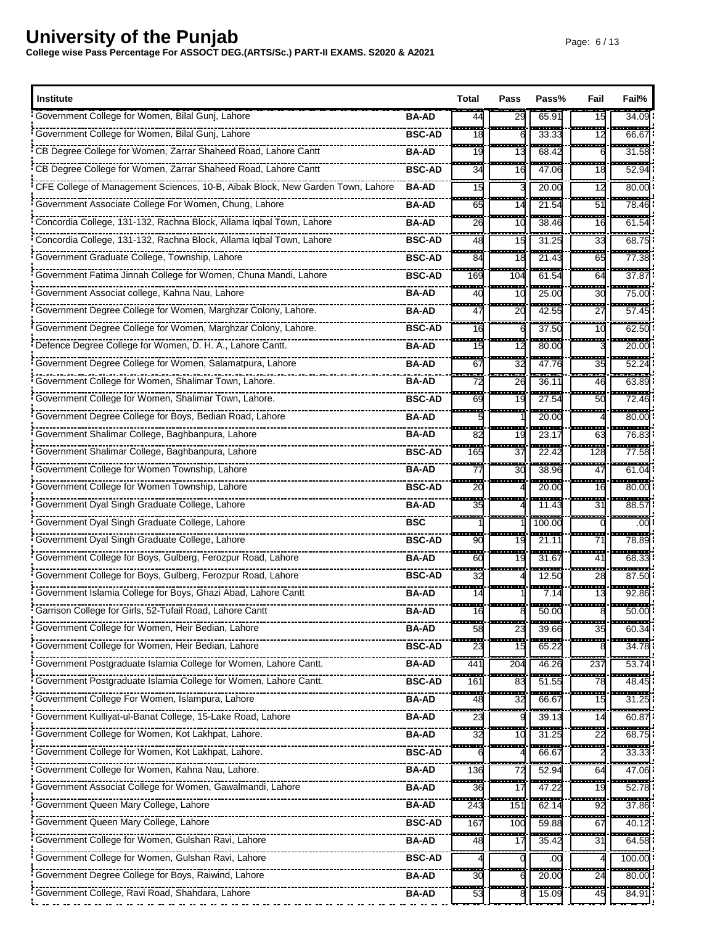| <b>Institute</b>                                                               |               | Total                          | Pass                           | Pass%                      | Fail                             | Fail%                    |
|--------------------------------------------------------------------------------|---------------|--------------------------------|--------------------------------|----------------------------|----------------------------------|--------------------------|
| Government College for Women, Bilal Gunj, Lahore                               | <b>BA-AD</b>  | 44                             | 29                             | 65.91                      | 15                               | 34.09                    |
| Government College for Women, Bilal Gunj, Lahore                               | <b>BSC-AD</b> | 18                             |                                | 33.33                      | ------<br>12                     | .<br>66.67               |
| "CB Degree College for Women, Zarrar Shaheed Road, Lahore Cantt                | <b>BA-AD</b>  | an an<br>19                    | -------<br>13                  | .<br>68.42                 | --------<br>6                    | -------<br>31.58         |
| CB Degree College for Women, Zarrar Shaheed Road, Lahore Cantt                 | <b>BSC-AD</b> | 34                             | 16                             | 47.06                      | i<br>18                          | 52.94                    |
| CFE College of Management Sciences, 10-B, Aibak Block, New Garden Town, Lahore | <b>BA-AD</b>  | ---<br>15                      |                                | 20.00                      | $\frac{1}{2}$<br>$\overline{12}$ | -----<br>80.00           |
| Government Associate College For Women, Chung, Lahore                          | <b>BA-AD</b>  | <b>111</b><br>65               | 14                             | 21.54                      | - - -<br>51                      | .<br>78.46               |
| Concordia College, 131-132, Rachna Block, Allama Iqbal Town, Lahore            | <b>BA-AD</b>  | $\overline{\phantom{a}}$<br>26 | $\overline{\phantom{a}}$<br>10 | $- - - - -$<br>38.46       | .<br>16                          | ------<br>61.54          |
| Concordia College, 131-132, Rachna Block, Allama Igbal Town, Lahore            | <b>BSC-AD</b> | 55<br>48                       | ÷<br>15                        | $\frac{1}{31.25}$          | $\frac{1}{33}$                   | <br>68.75                |
| Government Graduate College, Township, Lahore                                  | <b>BSC-AD</b> | .<br>84                        | a an<br>18                     | -------<br>21.43           | .<br>65                          | ------<br>77.38          |
| Government Fatima Jinnah College for Women, Chuna Mandi, Lahore                | <b>BSC-AD</b> | H<br>169                       | 104                            | 61.54                      | H<br>64                          | ------<br>37.87          |
| Government Associat college, Kahna Nau, Lahore                                 | <b>BA-AD</b>  | <br>40                         | ----<br>10                     | .<br>25.00                 | -------<br>30                    | ------<br>75.00          |
| Government Degree College for Women, Marghzar Colony, Lahore.                  | <b>BA-AD</b>  | <b>The Co</b><br>47            | <b>STAR</b><br>20              | .<br>42.55                 | a an<br>27                       | .<br>57.45               |
| Government Degree College for Women, Marghzar Colony, Lahore.                  | <b>BSC-AD</b> | ---<br>16                      | .                              | ------<br>37.50            | -------<br>10                    | ------<br>62.50          |
| Defence Degree College for Women, D. H. A., Lahore Cantt.                      | <b>BA-AD</b>  | ---<br>15                      | 12                             | 80.00                      | --------                         | <del>.</del><br>20.00    |
| Government Degree College for Women, Salamatpura, Lahore                       | <b>BA-AD</b>  | an a<br>67                     | an an<br>32                    | -------<br>47.76           | --------<br>35                   | .<br>52.24               |
| Government College for Women, Shalimar Town, Lahore.                           | <b>BA-AD</b>  | <b>115</b><br>72               | an an<br>26                    | 36.11                      | ---<br>46                        | ------<br>63.89          |
| Government College for Women, Shalimar Town, Lahore.                           | <b>BSC-AD</b> | 69                             | 19                             | 27.54                      | 53<br>50                         | 72.46                    |
| Government Degree College for Boys, Bedian Road, Lahore                        | <b>BA-AD</b>  |                                |                                | 20.00                      | a an a                           | ------<br>80.00          |
| Government Shalimar College, Baghbanpura, Lahore                               | <b>BA-AD</b>  | -----<br>82                    | -------<br>19                  | 23.17                      | --------<br>63                   | ------<br>76.83          |
| Government Shalimar College, Baghbanpura, Lahore                               | <b>BSC-AD</b> | ----<br>165                    | $\overline{\phantom{a}}$<br>37 | ------<br>22.42            | ------<br>128                    | -------<br>77.58         |
| Government College for Women Township, Lahore                                  | <b>BA-AD</b>  | .<br>77                        | ÷<br>30                        | 38.96                      | <br>47                           | ------<br>61.04          |
| Government College for Women Township, Lahore                                  | <b>BSC-AD</b> | <br>20                         | --------                       | -------<br>20.00           | ---------<br>16                  | -------<br>80.00         |
| Government Dyal Singh Graduate College, Lahore                                 | <b>BA-AD</b>  | --<br>35                       |                                | 11.43                      | ---<br>31                        | 88.57                    |
| Government Dyal Singh Graduate College, Lahore                                 | <b>BSC</b>    | ----                           |                                | .<br>100.00                | ---------                        | --------<br>.00          |
| Government Dyal Singh Graduate College, Lahore                                 | <b>BSC-AD</b> | ---<br>90                      | 19                             | .<br>21.11                 | -------<br>71                    | -------<br>78.89         |
| Government College for Boys, Gulberg, Ferozpur Road, Lahore                    | <b>BA-AD</b>  | ---<br>60                      | ÷,<br>19                       | 31.67                      | $-0.000$<br>41                   | ------<br>68.33          |
| Government College for Boys, Gulberg, Ferozpur Road, Lahore                    | <b>BSC-AD</b> | --<br>32                       |                                | 12.50                      | ---<br>28                        | 87.50                    |
| Government Islamia College for Boys, Ghazi Abad, Lahore Cantt                  | <b>BA-AD</b>  | i mar<br>14                    |                                | .<br>7.14                  | -------<br>13                    | ------<br>92.86          |
| Garrison College for Girls, 52-Tufail Road, Lahore Cantt                       | <b>BA-AD</b>  | 16                             | 8                              | 50.00                      | 8                                | 50.00                    |
| Government College for Women, Heir Bedian, Lahore                              | <b>BA-AD</b>  | 58                             | 23                             | 39.66                      | $\overline{35}$                  | 60.34                    |
| Government College for Women, Heir Bedian, Lahore                              | <b>BSC-AD</b> | 23                             | 15                             | 65.22                      |                                  | $\frac{1}{34.78}$        |
| Government Postgraduate Islamia College for Women, Lahore Cantt.               | <b>BA-AD</b>  | .<br>441                       | 533<br>204                     | -----<br>46.26             | ------<br>237                    | <del>.</del><br>53.74    |
| Government Postgraduate Islamia College for Women, Lahore Cantt.               | <b>BSC-AD</b> | H<br>161                       | 83                             | $\frac{1}{51.55}$          | 78                               | $\frac{1}{48.45}$        |
| Government College For Women, Islampura, Lahore                                | <b>BA-AD</b>  | H<br>48                        | ÷<br>32                        | -----<br>66.67             | ļ<br>15                          | <br>31.25                |
|                                                                                | <b>BA-AD</b>  | 23                             |                                | 39.13                      | ш.<br>14                         | ------<br>60.87          |
| Government College for Women, Kot Lakhpat, Lahore.                             | <b>BA-AD</b>  | ---<br>32                      | $\overline{\phantom{a}}$<br>10 | 31.25                      | ------<br>22                     | ------<br>68.75          |
| Government College for Women, Kot Lakhpat, Lahore.                             | <b>BSC-AD</b> |                                |                                | 66.67                      |                                  | 33.33                    |
| Government College for Women, Kahna Nau, Lahore.                               | <b>BA-AD</b>  | ---<br>136                     | œ<br>72                        | <b>STATISTICS</b><br>52.94 | ------<br>64                     | ------<br>47.06          |
| Government Associat College for Women, Gawalmandi, Lahore                      | <b>BA-AD</b>  | 36                             | 17                             | 47.22                      | 19                               | -------<br>52.78         |
| Government Queen Mary College, Lahore                                          | <b>BA-AD</b>  | ÷<br>243                       | œ.<br>151                      | 62.14                      | $-11111$<br>92                   | ------<br>37.86          |
| Government Queen Mary College, Lahore                                          | <b>BSC-AD</b> | ----<br>167                    | .<br>100                       | 59.88                      | 533<br>67                        | -------<br>40.12         |
| Government College for Women, Gulshan Ravi, Lahore                             | <b>BA-AD</b>  | 48                             | 17                             | 35.42                      | 31                               | 64.58                    |
| Government College for Women, Gulshan Ravi, Lahore                             | <b>BSC-AD</b> |                                |                                | .00                        |                                  | 100.00                   |
| Government Degree College for Boys, Raiwind, Lahore                            | <b>BA-AD</b>  | ----<br>30                     |                                | 20.00                      | .<br>24                          | ------<br>80.00          |
| Government College, Ravi Road, Shahdara, Lahore                                | <b>BA-AD</b>  | 53                             |                                | 15.09                      | ---<br>45                        | <u>18358351</u><br>84.91 |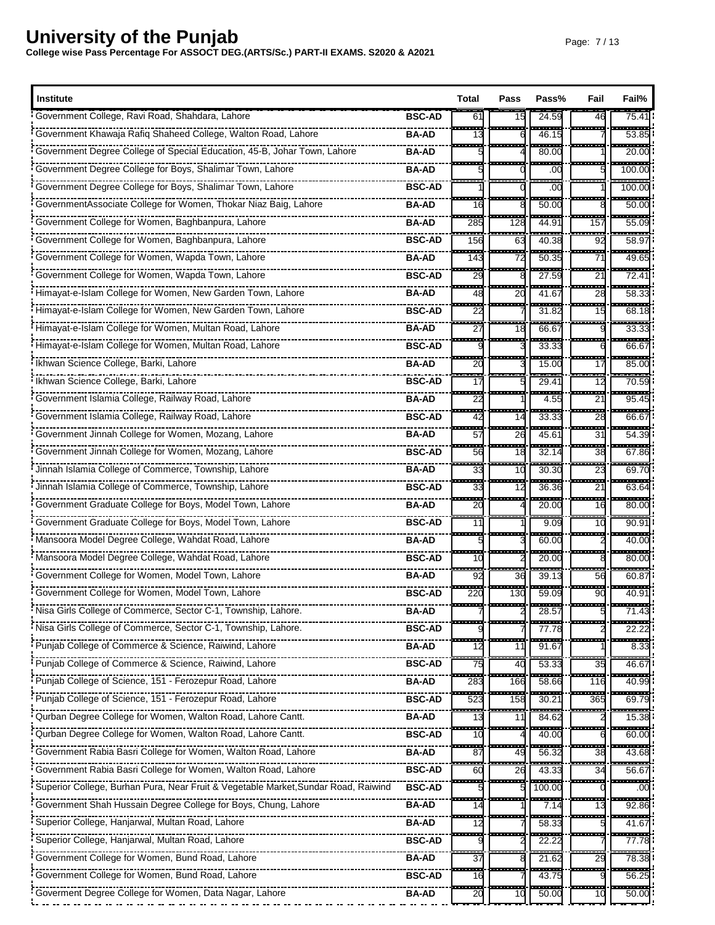| <b>Institute</b>                                                                   |               | Total                               | Pass                           | Pass%                  | Fail                           | Fail%                        |
|------------------------------------------------------------------------------------|---------------|-------------------------------------|--------------------------------|------------------------|--------------------------------|------------------------------|
| Government College, Ravi Road, Shahdara, Lahore                                    | <b>BSC-AD</b> | 61                                  | 15                             | 24.59                  | 46                             | 75.4'                        |
|                                                                                    | <b>BA-AD</b>  | 13                                  |                                | 46.15                  |                                | .<br>53.85                   |
|                                                                                    | <b>BA-AD</b>  | ----                                | -------                        | -------<br>80.00       | --------                       | --------<br>20.00            |
| Government Degree College for Boys, Shalimar Town, Lahore                          | <b>BA-AD</b>  |                                     |                                | .00                    |                                | 100.00                       |
| Government Degree College for Boys, Shalimar Town, Lahore                          | <b>BSC-AD</b> |                                     |                                | ----<br>.00            |                                | ------<br>100.00             |
| GovernmentAssociate College for Women, Thokar Niaz Baig, Lahore                    | <b>BA-AD</b>  | .<br>16                             |                                | -----<br>50.00         |                                | ------<br>50.00              |
| Government College for Women, Baghbanpura, Lahore                                  | <b>BA-AD</b>  | $-1$<br>285                         | ------<br>128                  | -----<br>44.91         | -------<br>157                 | ------<br>55.09              |
| Government College for Women, Baghbanpura, Lahore                                  | <b>BSC-AD</b> | <br>156                             | H<br>63                        | 40.38                  | $\overline{92}$                | ------<br>58.9               |
| Government College for Women, Wapda Town, Lahore                                   | <b>BA-AD</b>  | .<br>143                            | a a s<br>72                    | .<br>50.35             | -------<br>71                  | .<br>49.65                   |
| Government College for Women, Wapda Town, Lahore                                   | <b>BSC-AD</b> | H<br>29                             |                                | $\frac{1}{27.59}$      | 533<br>21                      | ------<br>72.4'              |
| Himayat-e-Islam College for Women, New Garden Town, Lahore                         | <b>BA-AD</b>  | ---<br>48                           | -------<br>20                  | -------<br>41.67       | .<br>28                        | ------<br>58.33              |
| Himayat-e-Islam College for Women, New Garden Town, Lahore                         | <b>BSC-AD</b> | <b>The Co</b><br>22                 | <b>COLOR</b>                   | .<br>31.82             | a an<br>15                     | .<br>68.18                   |
| Himayat-e-Islam College for Women, Multan Road, Lahore                             | <b>BA-AD</b>  | $\overline{\phantom{a}}$<br>27      | 55<br>18                       | ------<br>66.67        | -------                        | -----<br>33.33               |
| Himayat-e-Islam College for Women, Multan Road, Lahore                             | <b>BSC-AD</b> |                                     |                                | 33.33                  |                                | ------<br>66.67              |
| Ikhwan Science College, Barki, Lahore                                              | <b>BA-AD</b>  | ----<br>20                          |                                | ------<br>15.00        | --------<br>17                 | ------<br>85.00              |
|                                                                                    | <b>BSC-AD</b> | an an<br>17                         |                                | 29.41                  | 533<br>12                      | ------<br>70.59              |
| Government Islamia College, Railway Road, Lahore                                   | <b>BA-AD</b>  | ---<br>22                           |                                | 4.55                   | ÷<br>$\overline{21}$           | 95.45                        |
| Government Islamia College, Railway Road, Lahore                                   | <b>BSC-AD</b> | an an<br>42                         | ---<br>14                      | -------<br>33.33       | an an<br>28                    | ------<br>66.67              |
| Government Jinnah College for Women, Mozang, Lahore                                | <b>BA-AD</b>  | ---<br>57                           | ---<br>26                      | 45.61                  | -------<br>31                  | ------<br>54.39              |
| Government Jinnah College for Women, Mozang, Lahore                                | <b>BSC-AD</b> | ---<br>56                           | $\overline{\phantom{a}}$<br>18 | ------<br>32.14        | -------<br>38                  | - <del>------</del><br>67.86 |
| Jinnah Islamia College of Commerce, Township, Lahore                               | <b>BA-AD</b>  | œ<br>33                             | ---<br>10                      | -----<br>30.30         | <br>23                         | ------<br>69.70              |
| Jinnah Islamia College of Commerce, Township, Lahore                               | <b>BSC-AD</b> | <br>33                              | .<br>12                        | -------<br>36.36       | --------<br>21                 | -------<br>63.64             |
| Government Graduate College for Boys, Model Town, Lahore                           | <b>BA-AD</b>  | ÷<br>20                             |                                | 20.00                  | ---<br>16                      | 80.00                        |
| Government Graduate College for Boys, Model Town, Lahore                           | <b>BSC-AD</b> | $\overline{\phantom{a}}$<br>11      |                                | -----<br>9.09          | -------<br>10                  | -------<br>$90.9^{\circ}$    |
| Mansoora Model Degree College, Wahdat Road, Lahore                                 | <b>BA-AD</b>  | a sa sa                             |                                | .<br>60.00             |                                | ------<br>40.00              |
| Mansoora Model Degree College, Wahdat Road, Lahore                                 | <b>BSC-AD</b> | 10                                  |                                | 20.00                  |                                | -------<br>80.00             |
| Government College for Women, Model Town, Lahore                                   | <b>BA-AD</b>  | ÷<br>92                             | 36                             | 39.13                  | 56                             | 60.87                        |
| Government College for Women, Model Town, Lahore                                   | <b>BSC-AD</b> | <b>STAR</b><br>220                  | <b>STAR</b><br>130             | <b>The Co</b><br>59.09 | -------<br>90                  | ------<br>40.91              |
| Nisa Girls College of Commerce, Sector C-1, Township, Lahore.                      | <b>BA-AD</b>  |                                     |                                | 28.57                  | 5                              | -------<br>71.43             |
| Nisa Girls College of Commerce, Sector C-1, Township, Lahore.                      | <b>BSC-AD</b> |                                     |                                | -----<br>77.78         |                                | .<br>22.22                   |
| Punjab College of Commerce & Science, Raiwind, Lahore                              | <b>BA-AD</b>  | 12                                  | 11                             | 91.67                  |                                | $\frac{1}{8.33}$             |
| Punjab College of Commerce & Science, Raiwind, Lahore                              | <b>BSC-AD</b> | an an<br>75                         | ш.<br>40                       | -----<br>53.33         | -------<br>35                  | -------<br>46.67             |
| Punjab College of Science, 151 - Ferozepur Road, Lahore                            | <b>BA-AD</b>  | $\frac{1}{283}$                     | 166                            | 58.66                  | 116                            | $\frac{1}{40.99}$            |
| Punjab College of Science, 151 - Ferozepur Road, Lahore                            | <b>BSC-AD</b> | H<br>523                            | ł<br>158                       | <b>BERRY</b><br>30.21  | <br>365                        | -----<br>69.79               |
| Qurban Degree College for Women, Walton Road, Lahore Cantt.                        | <b>BA-AD</b>  | 13                                  | 11                             | 84.62                  |                                | ------<br>15.38              |
| Qurban Degree College for Women, Walton Road, Lahore Cantt.                        | <b>BSC-AD</b> | ---<br>10                           | i                              | 40.00                  |                                | ------<br>60.00              |
| Government Rabia Basri College for Women, Walton Road, Lahore                      | <b>BA-AD</b>  | 87                                  | 49                             | 56.32                  | 38                             | 43.68                        |
| Government Rabia Basri College for Women, Walton Road, Lahore                      | <b>BSC-AD</b> | ---<br>60                           | 26                             | -----<br>43.33         | 34                             | ------<br>56.67              |
| Superior College, Burhan Pura, Near Fruit & Vegetable Market, Sundar Road, Raiwind | <b>BSC-AD</b> |                                     |                                | 100.00                 |                                | .00                          |
| Government Shah Hussain Degree College for Boys, Chung, Lahore                     | <b>BA-AD</b>  | 14                                  |                                | $- - -$<br>7.14        | -----<br>13                    | <br>92.86                    |
| Superior College, Hanjarwal, Multan Road, Lahore                                   | <b>BA-AD</b>  | ---<br>12                           |                                | -------<br>58.33       |                                | -------<br>41.67             |
| Superior College, Hanjarwal, Multan Road, Lahore                                   | <b>BSC-AD</b> |                                     |                                | 22.22                  |                                | 77.78                        |
| Government College for Women, Bund Road, Lahore                                    | <b>BA-AD</b>  | H<br>$\overline{37}$<br><b>STAR</b> |                                | 21.62                  | 29                             | 78.38<br>------              |
| Government College for Women, Bund Road, Lahore                                    | <b>BSC-AD</b> | 16                                  |                                | 43.75                  |                                | 56.25                        |
| Government Degree College for Women, Data Nagar, Lahore                            | <b>BA-AD</b>  | ÷<br>20                             |                                | 50.00                  | $\overline{\phantom{a}}$<br>10 | ------<br>50.00              |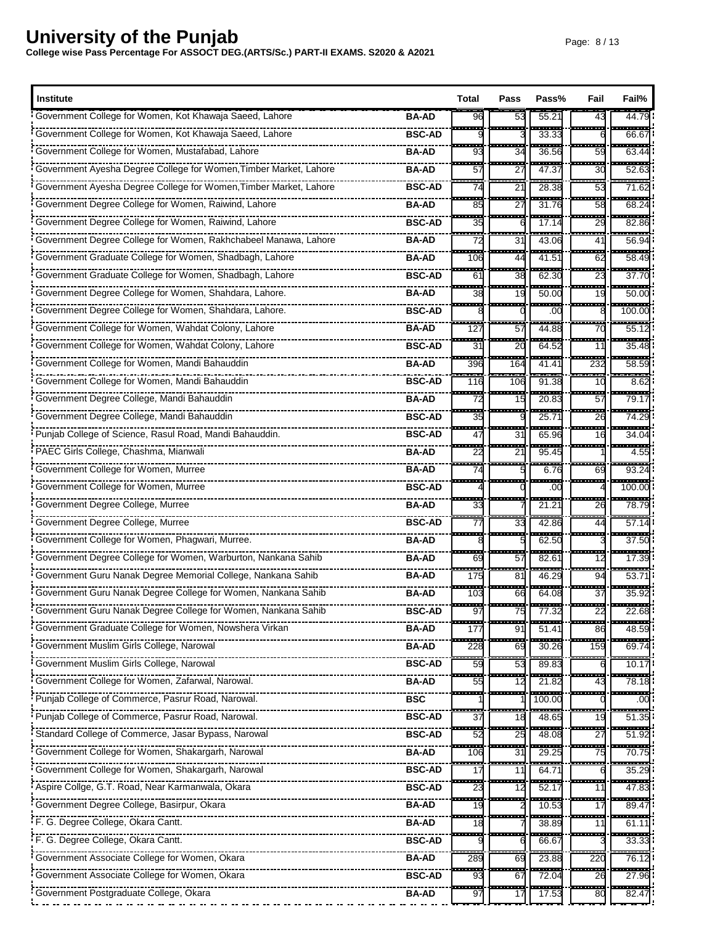| <b>Institute</b>                                                  |               | Total                          | Pass                   | Pass%                 | Fail                           | Fail%                           |
|-------------------------------------------------------------------|---------------|--------------------------------|------------------------|-----------------------|--------------------------------|---------------------------------|
| Government College for Women, Kot Khawaja Saeed, Lahore           | <b>BA-AD</b>  | 96                             | 53                     | 55.21                 | 43                             | 44.79                           |
| Government College for Women, Kot Khawaja Saeed, Lahore           | <b>BSC-AD</b> |                                |                        | .<br>33.33            |                                | ------<br>66.67                 |
| Government College for Women, Mustafabad, Lahore                  | BA-AD         | a sa sa<br>93                  | <br>34                 | .<br>36.56            | --------<br>59                 | ------<br>63.44                 |
| Government Ayesha Degree College for Women, Timber Market, Lahore | <b>BA-AD</b>  | н.<br>57                       | 27                     | 47.37                 | ŀ<br>30                        | . <u>.</u><br>52.63             |
| Government Ayesha Degree College for Women, Timber Market, Lahore | <b>BSC-AD</b> | ÷<br>74                        | ÷<br>21                | <br>28.38             | .<br>53                        | ------<br>71.62                 |
| Government Degree College for Women, Raiwind, Lahore              | <b>BA-AD</b>  | m<br>85                        | Îщ,<br>27              | .<br>31.76            | a an<br>58                     | ------<br>68.24                 |
| Government Degree College for Women, Raiwind, Lahore              | <b>BSC-AD</b> | ---<br>35                      | ÷<br>6                 | <del>.</del><br>17.14 | -------<br>29                  | ------<br>82.86                 |
| Government Degree College for Women, Rakhchabeel Manawa, Lahore   | <b>BA-AD</b>  | 72                             | 31                     | 43.06                 | ŀ<br>41                        | 56.94                           |
| Government Graduate College for Women, Shadbagh, Lahore           | BA-AD         | ---<br>106                     | <b>The Co</b><br>44    | ------<br>41.51       | .<br>62                        | ------<br>58.49                 |
| Government Graduate College for Women, Shadbagh, Lahore           | <b>BSC-AD</b> | ---<br>61                      | $-$<br>38              | 62.30                 | ---<br>23                      | ------<br>37.70                 |
| Government Degree College for Women, Shahdara, Lahore.            | BA-AD         | .<br>38                        | ÷.<br>19               | 50.00                 | .<br>19                        | ------<br>50.00                 |
| Government Degree College for Women, Shahdara, Lahore.            | <b>BSC-AD</b> |                                | ----                   | ------<br>.00         | --------                       | --------<br>100.00              |
| Government College for Women, Wahdat Colony, Lahore               | BA-AD         | 127                            | 57                     | 44.88                 | <b>BRA</b><br>70               | 55.12                           |
| Government College for Women, Wahdat Colony, Lahore               | <b>BSC-AD</b> | $- - -$<br>31                  | ---<br>$\overline{20}$ | 64.52                 | $\frac{1}{2}$<br>11            | ------<br>35.48                 |
| Government College for Women, Mandi Bahauddin                     | <b>BA-AD</b>  | ---<br>396                     | ---<br>164             | 41.41                 | -------<br>232                 | -----<br>58.59                  |
| Government College for Women, Mandi Bahauddin                     | <b>BSC-AD</b> | ----<br>116                    | ---<br>106             | -------<br>91.38      | ------<br>10                   | ------<br>8.62                  |
| Government Degree College, Mandi Bahauddin                        | <b>BA-AD</b>  | ---<br>72                      | ÷,<br>15               | 20.83                 | -----<br>57                    | -----<br>79.17                  |
| Government Degree College, Mandi Bahauddin                        | <b>BSC-AD</b> | ----<br>35                     | --------               | -------<br>25.7'      | --------<br>26                 | ,,,,,,,,,<br>74.29              |
| Punjab College of Science, Rasul Road, Mandi Bahauddin.           | <b>BSC-AD</b> | 533<br>47                      | -------<br>31          | .<br>65.96            | -------<br>16                  | -------<br>34.04                |
| PAEC Girls College, Chashma, Mianwali                             | <b>BA-AD</b>  | ÷<br>22                        | ÷<br>21                | 95.45                 | -------                        | ------<br>4.55                  |
| Government College for Women, Murree                              | <b>BA-AD</b>  | ш.<br>74                       |                        | 6.76                  | 69                             | $-1$<br>93.24                   |
| Government College for Women, Murree                              | <b>BSC-AD</b> | ---                            | -------                | ------<br>.00         |                                | <u>wa sa ayyu</u><br>100.00     |
| Government Degree College, Murree                                 | <b>BA-AD</b>  | 33                             |                        | 21.21                 | 26                             | 78.79                           |
| Government Degree College, Murree                                 | <b>BSC-AD</b> | $\overline{\phantom{a}}$<br>77 | $-1$<br>33             | 42.86                 | $\overline{\phantom{a}}$<br>44 | ------<br>57.14                 |
| • Government College for Women, Phagwari, Murree.                 | <b>BA-AD</b>  | .                              |                        | ------<br>62.50       |                                | .<br>37.50                      |
| Government Degree College for Women, Warburton, Nankana Sahib     | <b>BA-AD</b>  | --<br>69                       | i<br>57                | -----<br>82.61        | $- - - - -$<br>12              | ------<br>17.39                 |
| Government Guru Nanak Degree Memorial College, Nankana Sahib      | <b>BA-AD</b>  | į<br>175                       | 81                     | 46.29                 | i<br>94                        | ------<br>53.7'                 |
| Government Guru Nanak Degree College for Women, Nankana Sahib     | <b>BA-AD</b>  | a an<br>103                    | m.<br>66               | -----<br>64.08        | -------<br>37                  | ------<br>35.92                 |
| Government Guru Nanak Degree College for Women, Nankana Sahib     | <b>BSC-AD</b> | ----<br>97                     | 75                     | 77.32                 | 22                             | -------<br>22.68                |
| Government Graduate College for Women, Nowshera Virkan            | <b>BA-AD</b>  | .<br>177                       | ÷<br>91                | $- - - - -$<br>51.41  | ÷<br>86                        | $\frac{1}{48.59}$               |
| Government Muslim Girls College, Narowal                          | <b>BA-AD</b>  | 228                            | 69                     | 30.26                 | a a bar<br>159                 | -------<br>69.74                |
| Government Muslim Girls College, Narowal                          | <b>BSC-AD</b> | m.<br>59                       | ÷<br>53                | -----<br>89.83        | ,,,,,,,,                       | ------<br>10.17                 |
| Government College for Women, Zafarwal, Narowal.                  | <b>BA-AD</b>  | 55                             | 12                     | 21.82                 | 43                             | 78.18                           |
| Punjab College of Commerce, Pasrur Road, Narowal.                 | <b>BSC</b>    |                                |                        | 100.00                |                                | $\overline{\phantom{a}}$<br>.00 |
| Punjab College of Commerce, Pasrur Road, Narowal.                 | <b>BSC-AD</b> | 55.<br>37                      | 18                     | 48.65                 | in an<br>19                    | -----<br>51.35                  |
| Standard College of Commerce, Jasar Bypass, Narowal               | <b>BSC-AD</b> | ÷<br>52                        | ---<br>25              | 48.08                 | -------<br>27                  | ------<br>51.92                 |
|                                                                   | <b>BA-AD</b>  | ---<br>106                     | ---<br>31              | 29.25                 | ---<br>75                      | -------<br>70.75                |
| Government College for Women, Shakargarh, Narowal                 | <b>BSC-AD</b> | 17                             | 11                     | 64.71                 |                                | 35.29                           |
| Aspire Collge, G.T. Road, Near Karmanwala, Okara                  | <b>BSC-AD</b> | 23                             | 12                     | 52.17                 | H<br>11                        | 47.83                           |
| Government Degree College, Basirpur, Okara                        | <b>BA-AD</b>  | ---<br>19                      |                        | 10.53                 | $\frac{1}{2}$<br>17            | ------<br>89.47                 |
| F. G. Degree College, Okara Cantt.                                | <b>BA-AD</b>  | ---<br>18                      |                        | 38.89                 | a an<br>11                     | -------<br>61.11                |
| F. G. Degree College, Okara Cantt.                                | <b>BSC-AD</b> |                                |                        | 66.67                 |                                | 33.33                           |
| Government Associate College for Women, Okara                     | <b>BA-AD</b>  | ----<br>289                    | ļ<br>69                | 23.88                 | -----<br>220                   | 76.12                           |
| Government Associate College for Women, Okara                     | <b>BSC-AD</b> | m.<br>93                       | a san<br>67            | 72.04                 | -------<br>26                  | .<br>27.96                      |
| • Government Postgraduate College, Okara                          | <b>BA-AD</b>  | 97                             |                        | 17.53                 | 55<br>80                       | -------<br>82.47                |
|                                                                   |               |                                |                        |                       |                                |                                 |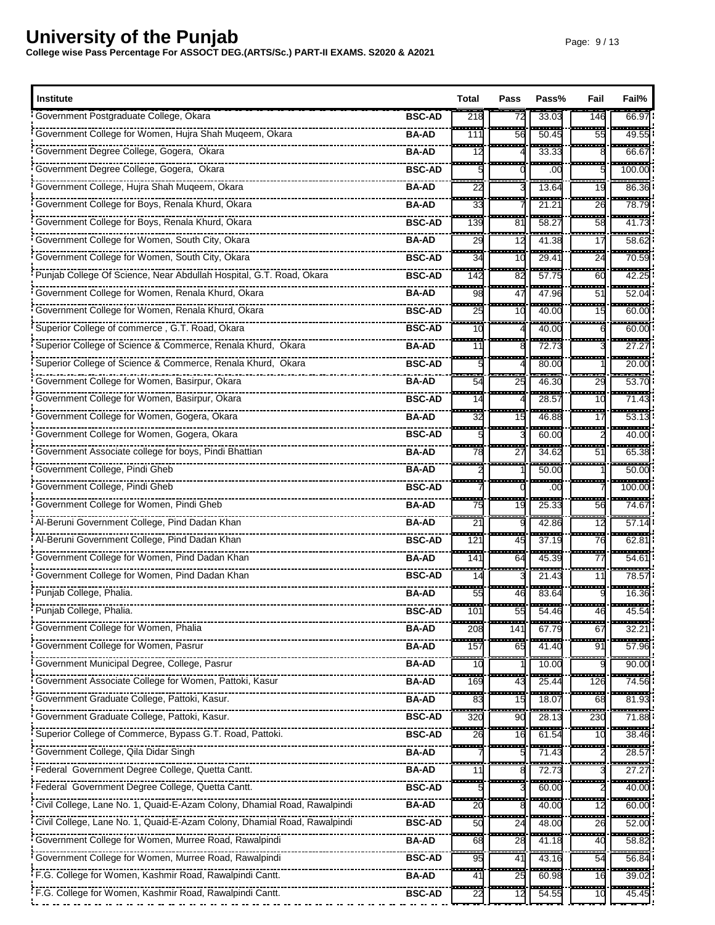| <b>Institute</b>                                                                          | Total                          | Pass                           | Pass%              | Fail                           | Fail%                      |
|-------------------------------------------------------------------------------------------|--------------------------------|--------------------------------|--------------------|--------------------------------|----------------------------|
| Government Postgraduate College, Okara<br><b>BSC-AD</b>                                   | 218                            | 72                             | 33.03              | 146                            | 66.9                       |
| Government College for Women, Hujra Shah Muqeem, Okara<br><b>BA-AD</b>                    | a an<br>111                    | a a s<br>56                    | ------<br>50.45    | <b>STAR</b><br>55              | .<br>49.55                 |
| Government Degree College, Gogera, Okara<br><b>BA-AD</b>                                  | a an a<br>-12                  | --------                       | .<br>33.33         | <del>.</del>                   | -----<br>66.67             |
| <b>BSC-AD</b>                                                                             |                                |                                | .00                | 5                              | 100.00                     |
| Government College, Hujra Shah Muqeem, Okara<br><b>BA-AD</b>                              | $\overline{\phantom{a}}$<br>22 |                                | $- - - -$<br>13.64 | -------<br>19                  | .<br>86.36                 |
| Government College for Boys, Renala Khurd, Okara<br><b>BA-AD</b>                          | m.<br>33                       |                                | .<br>21.21         | ---<br>26                      | ------<br>78.79            |
| Government College for Boys, Renala Khurd, Okara<br><b>BSC-AD</b>                         | ----<br>139                    | $\overline{\phantom{a}}$<br>81 | ------<br>58.27    | --------<br>58                 | ------<br>41.73            |
| Government College for Women, South City, Okara<br><b>BA-AD</b>                           | ŀ<br>29                        | 12                             | 41.38              | <br>17                         | 58.62                      |
| Government College for Women, South City, Okara<br><b>BSC-AD</b>                          | .<br>34                        | ----<br>10                     | -------<br>29.41   | .<br>24                        | ------<br>70.59            |
| Punjab College Of Science, Near Abdullah Hospital, G.T. Road, Okara<br><b>BSC-AD</b>      | ---<br>142                     | ---<br>82                      | -----<br>57.75     | <del>.</del> .<br>60           | ------<br>42.25            |
| Government College for Women, Renala Khurd, Okara<br><b>BA-AD</b>                         | ----<br>98                     | ---<br>47                      | ------<br>47.96    | --------<br>51                 | ------<br>52.04            |
| Government College for Women, Renala Khurd, Okara<br><b>BSC-AD</b>                        | <b>STATE</b><br>25             | <b>STATE</b><br>10             | .<br>40.00         | .<br>15                        | <br>60.00                  |
| Superior College of commerce, G.T. Road, Okara<br><b>BSC-AD</b>                           | --<br>10                       |                                | 40.00              | ---<br>6                       | 60.00                      |
| Superior College of Science & Commerce, Renala Khurd, Okara<br><b>BA-AD</b>               | ---<br>11                      |                                | 72.73              |                                | ------<br>27.27            |
| Superior College of Science & Commerce, Renala Khurd, Okara<br><b>BSC-AD</b>              | <b>STATISTICS</b>              |                                | -------<br>80.00   | --------                       | -----<br>20.00             |
| Government College for Women, Basirpur, Okara<br><b>BA-AD</b>                             | ---<br>54                      | ---<br>25                      | ------<br>46.30    | --------<br>29                 | -------<br>53.70           |
| Government College for Women, Basirpur, Okara<br><b>BSC-AD</b>                            | ---<br>14                      |                                | 28.57              | ------<br>10                   | ------<br>71.43            |
| Government College for Women, Gogera, Okara<br><b>BA-AD</b>                               | <br>32                         | --------<br>15                 | -------<br>46.88   | <br>17                         | -------<br>53.1            |
| Government College for Women, Gogera, Okara<br><b>BSC-AD</b>                              | -----                          | --------                       | ------<br>60.00    | ---------                      | --------<br>40.00          |
| Government Associate college for boys, Pindi Bhattian<br><b>BA-AD</b>                     | H<br>78                        | ŀ<br>27                        | ------<br>34.62    | -------<br>51                  | ------<br>65.38            |
| Government College, Pindi Gheb<br><b>BA-AD</b>                                            |                                |                                | 50.00              |                                | -----<br>50.00             |
| <b>BSC-AD</b>                                                                             | -------                        | -------                        | -------<br>.00     |                                | --------<br>100.00         |
| Government College for Women, Pindi Gheb<br><b>BA-AD</b>                                  | 75                             | 19                             | -----<br>25.33     | 56                             | 74.67                      |
| <b>BA-AD</b>                                                                              | ---<br>2 <sup>1</sup>          |                                | 42.86              | -------<br>12                  | -------<br>57.1            |
| <b>BSC-AD</b>                                                                             | a an<br>121                    | 45                             | -------<br>37.19   | <u>.</u><br>76                 | ------<br>62.8             |
| Government College for Women, Pind Dadan Khan<br><b>BA-AD</b>                             | ---<br>141                     | --<br>64                       | $- - - -$<br>45.39 | $-0.000$<br>77                 | -----<br>54.6'             |
| Government College for Women, Pind Dadan Khan<br><b>BSC-AD</b>                            | 14                             |                                | 21.43              | 11                             | -------<br>78.57           |
| Punjab College, Phalia.<br><b>BA-AD</b>                                                   | <b>TELE</b><br>55              | 46                             | .<br>83.64         | -------                        | ------<br>16.36            |
| Punjab College, Phalia.<br><b>BSC-AD</b>                                                  | <u>.</u><br>101                | 55                             | 54.46              | 46                             | -------<br>45.54           |
| Government College for Women, Phalia<br>BA-AD                                             | ----<br>208                    | H<br>141                       | -----<br>67.79     | ÷<br>67                        | ------<br>32.21            |
| Government College for Women, Pasrur<br><b>BA-AD</b>                                      | ł<br>157                       | 65                             | .<br>41.40         | <b>STAR</b><br>91              | ------<br>57.96            |
| Government Municipal Degree, College, Pasrur<br><b>BA-AD</b>                              | m.<br>10                       | $- - -$                        | -----<br>10.00     | .                              | ------<br>90.00            |
| Government Associate College for Women, Pattoki, Kasur<br><b>BA-AD</b>                    | 169                            | 43                             | 25.44              | 126                            | 74.56                      |
| Government Graduate College, Pattoki, Kasur.<br><b>BA-AD</b>                              | a an<br>83                     | Ŧ.<br>15                       | 18.07              | ---<br>68                      | ----<br>81.93              |
| Government Graduate College, Pattoki, Kasur.<br><b>BSC-AD</b>                             | ш.<br>320                      | 90                             | 28.13              | 230                            | ------<br>71.88            |
| Superior College of Commerce, Bypass G.T. Road, Pattoki.<br><b>BSC-AD</b>                 | ÷<br>26                        | 16                             | 61.54              | 10                             | ------<br>38.46            |
| Government College, Qila Didar Singh<br><b>BA-AD</b>                                      |                                |                                | 71.43              |                                | -------<br>28.57           |
| Federal Government Degree College, Quetta Cantt.<br><b>BA-AD</b>                          | 11                             |                                | 72.73              |                                | <u> 1989 - 19</u><br>27.27 |
| Federal Government Degree College, Quetta Cantt.<br><b>BSC-AD</b>                         |                                |                                | 60.00              |                                | 40.00                      |
| Civil College, Lane No. 1, Quaid-E-Azam Colony, Dhamial Road, Rawalpindi<br><b>BA-AD</b>  | $\sim$<br>20                   |                                | 40.00              | $\overline{\phantom{a}}$<br>12 | 60.00                      |
| Civil College, Lane No. 1, Quaid-E-Azam Colony, Dhamial Road, Rawalpindi<br><b>BSC-AD</b> | ---<br>50                      | Ē<br>24                        | 48.00              | an a<br>26                     | .<br>52.00                 |
| Government College for Women, Murree Road, Rawalpindi<br>BA-AD                            | 68                             | 28                             | 41.18              | 40                             | 58.82                      |
| Government College for Women, Murree Road, Rawalpindi<br><b>BSC-AD</b>                    | 55<br>95                       | H<br>41                        | 43.16              | $\overline{\phantom{a}}$<br>54 | ------<br>56.84            |
| F.G. College for Women, Kashmir Road, Rawalpindi Cantt.<br><b>BA-AD</b>                   | m.<br>41                       | .<br>25                        | 60.98              | -------<br>16                  | ------<br>39.02            |
| F.G. College for Women, Kashmir Road, Rawalpindi Cantt.<br><b>BSC-AD</b>                  | 22                             | 12                             | 54.55              | ---<br>10                      | -------<br>45.45           |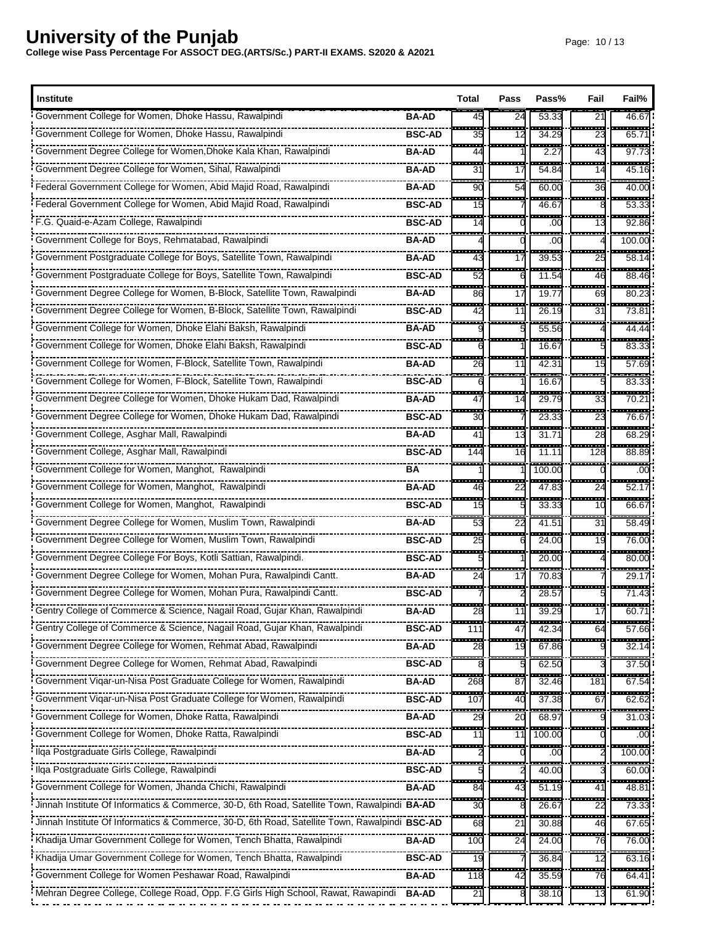| <b>Institute</b>                                                                              |               | Total              | Pass                | Pass%                             | Fail                           | Fail%                 |
|-----------------------------------------------------------------------------------------------|---------------|--------------------|---------------------|-----------------------------------|--------------------------------|-----------------------|
| Government College for Women, Dhoke Hassu, Rawalpindi                                         | <b>BA-AD</b>  | 45                 | 24                  | 53.33                             | 21                             | 46.6                  |
|                                                                                               | <b>BSC-AD</b> | ---<br>35          | -------             | $\overline{\phantom{a}}$<br>34.29 | ------<br>23                   | -----<br>65.7         |
| Government Degree College for Women, Dhoke Kala Khan, Rawalpindi                              | <b>BA-AD</b>  | <b>TELE</b><br>44  | --------            | ------<br>2.27                    | .<br>43                        | -------<br>97.7       |
| Government Degree College for Women, Sihal, Rawalpindi                                        | <b>BA-AD</b>  | ---<br>31          | 17                  | 54.84                             | -----<br>14                    | -----<br>45.16        |
| Federal Government College for Women, Abid Majid Road, Rawalpindi                             | <b>BA-AD</b>  | a an<br>90         | a an<br>54          | 60.00                             | a an<br>36                     | -----<br>40.00        |
| Federal Government College for Women, Abid Majid Road, Rawalpindi                             | <b>BSC-AD</b> | man.<br>15         |                     | 46.67                             | --------                       | -----<br>53.33        |
| F.G. Quaid-e-Azam College, Rawalpindi                                                         | <b>BSC-AD</b> | ÷<br>14            |                     | .00                               | $-1$<br>13                     | <del>.</del><br>92.86 |
| Government College for Boys, Rehmatabad, Rawalpindi                                           | <b>BA-AD</b>  | ----               |                     | .00                               |                                | -------<br>100.00     |
| Government Postgraduate College for Boys, Satellite Town, Rawalpindi                          | <b>BA-AD</b>  | <b>TELES</b><br>43 | .<br>17             | .<br>39.53                        | --------<br>25                 | ------<br>58.1        |
| Government Postgraduate College for Boys, Satellite Town, Rawalpindi                          | <b>BSC-AD</b> | H<br>52            | 6                   | 11.54                             | H<br>46                        | -----<br>88.46        |
| Government Degree College for Women, B-Block, Satellite Town, Rawalpindi                      | <b>BA-AD</b>  | $-$<br>86          | .<br>17             | -----<br>19.77                    | ---<br>69                      | ------<br>80.23       |
| Government Degree College for Women, B-Block, Satellite Town, Rawalpindi                      | <b>BSC-AD</b> | æ<br>42            | 11                  | 26.19                             | H<br>31                        | ------<br>73.8        |
| Government College for Women, Dhoke Elahi Baksh, Rawalpindi                                   | <b>BA-AD</b>  | ---                |                     | .<br>55.56                        |                                | <br>44.44             |
| Government College for Women, Dhoke Elahi Baksh, Rawalpindi                                   | <b>BSC-AD</b> |                    |                     | 16.67                             |                                | $\frac{1}{83.33}$     |
| Government College for Women, F-Block, Satellite Town, Rawalpindi                             | <b>BA-AD</b>  | <b>.</b><br>26     | --------<br>11      | والمتعادل<br>42.31                | -------<br>15                  | ------<br>57.69       |
|                                                                                               | <b>BSC-AD</b> |                    |                     | 16.67                             |                                | ------<br>83.33       |
| Government Degree College for Women, Dhoke Hukam Dad, Rawalpindi                              | <b>BA-AD</b>  | i<br>47            | H<br>14             | 29.79                             | $\frac{1}{33}$                 | -----<br>70.21        |
| Government Degree College for Women, Dhoke Hukam Dad, Rawalpindi                              | <b>BSC-AD</b> | <u>an a</u><br>30  |                     | $\frac{1}{23.33}$                 | ÷<br>23                        | ------<br>76.67       |
| Government College, Asghar Mall, Rawalpindi                                                   | <b>BA-AD</b>  | ---<br>41          | -------<br>13       | ------<br>31.71                   | --------<br>28                 | ------<br>68.29       |
| Government College, Asghar Mall, Rawalpindi                                                   | <b>BSC-AD</b> | $-$<br>144         | ---<br>16           | 11.11                             | -----<br>128                   | 88.89                 |
| Government College for Women, Manghot, Rawalpindi                                             | ΒA            | ----               |                     | 100.00                            | -------                        | ------<br>.oc         |
| Government College for Women, Manghot, Rawalpindi                                             | <b>BA-AD</b>  | an an<br>46        | ---<br>22           | 47.83                             | 24                             | -------<br>52.1       |
| Government College for Women, Manghot, Rawalpindi                                             | <b>BSC-AD</b> | ---<br>15          |                     | 33.33                             | $-$<br>10                      | .<br>66.6             |
| Government Degree College for Women, Muslim Town, Rawalpindi                                  | <b>BA-AD</b>  | ---<br>53          | ---<br>22           | 41.51                             | ---<br>31                      | 58.49                 |
| Government Degree College for Women, Muslim Town, Rawalpindi                                  | <b>BSC-AD</b> | <br>25             | ---                 | 24.00                             | .<br>19                        | -----<br>76.00        |
| Government Degree College For Boys, Kotli Sattian, Rawalpindi.                                | <b>BSC-AD</b> | .                  |                     | ------<br>20.00                   | ---                            | ------<br>80.00       |
| Government Degree College for Women, Mohan Pura, Rawalpindi Cantt.                            | BA-AD         | ----<br>24         | ----<br>17          | 70.83                             |                                | -----<br>29.1         |
| Government Degree College for Women, Mohan Pura, Rawalpindi Cantt.                            | <b>BSC-AD</b> | .                  |                     | ----<br>28.57                     |                                | --------<br>71.43     |
| Gentry College of Commerce & Science, Nagail Road, Gujar Khan, Rawalpindi                     | BA-AD         | <del></del><br>28  | 11                  | 39.29                             | 17                             | 60.71                 |
|                                                                                               | <b>BSC-AD</b> | ----<br>111        | .<br>$\overline{4}$ | <br>42.34                         | $\overline{\phantom{a}}$<br>64 | -------<br>57.66      |
| Government Degree College for Women, Rehmat Abad, Rawalpindi                                  | <b>BA-AD</b>  | 28                 | 19                  | 67.86                             |                                | 32.14                 |
|                                                                                               | <b>BSC-AD</b> |                    |                     | 62.50                             |                                | -------<br>37.50      |
| Government Viqar-un-Nisa Post Graduate College for Women, Rawalpindi                          | <b>BA-AD</b>  | 268                | 87                  | 32.46                             | 181                            | 67.54                 |
| Government Vigar-un-Nisa Post Graduate College for Women, Rawalpindi                          | <b>BSC-AD</b> | ---<br>107         | H<br>40             | 37.38                             | .<br>67                        | 62.62                 |
|                                                                                               | <b>BA-AD</b>  | 29                 | 20                  | 68.97                             |                                | 31.03                 |
| Government College for Women, Dhoke Ratta, Rawalpindi                                         | <b>BSC-AD</b> | H<br>11            | 11                  | 100.00                            |                                | .oc                   |
| Ilga Postgraduate Girls College, Rawalpindi                                                   | <b>BA-AD</b>  |                    |                     | .00                               |                                | 100.00                |
| Ilqa Postgraduate Girls College, Rawalpindi                                                   | <b>BSC-AD</b> |                    |                     | .<br>40.00                        |                                | ------<br>60.00       |
| Government College for Women, Jhanda Chichi, Rawalpindi                                       | BA-AD         | 84                 | 43                  | $\frac{1}{51.19}$                 | 41                             | $\frac{1}{48.81}$     |
| Jinnah Institute Of Informatics & Commerce, 30-D, 6th Road, Satellite Town, Rawalpindi BA-AD  |               | ---<br>30          |                     | 26.67                             | $\cdots$<br>22                 | ------<br>73.33       |
| Jinnah Institute Of Informatics & Commerce, 30-D, 6th Road, Satellite Town, Rawalpindi BSC-AD |               | 68                 | $2^{\prime}$        | 30.88                             | 46                             | 67.65                 |
| Khadija Umar Government College for Women, Tench Bhatta, Rawalpindi                           | <b>BA-AD</b>  | i<br>100           | 24                  | 24.00                             | $\overline{\phantom{a}}$<br>76 | 76.00                 |
| Khadija Umar Government College for Women, Tench Bhatta, Rawalpindi                           | <b>BSC-AD</b> | 19                 |                     | 36.84                             | 12                             | 63.16                 |
| Government College for Women Peshawar Road, Rawalpindi                                        | BA-AD         | <b>STAR</b><br>118 | <b>STAR</b><br>42   | 35.59                             | <u>man a</u><br>76             | ------<br>64.41       |
| · Mehran Degree College, College Road, Opp. F.G Girls High School, Rawat, Rawapindi           | <b>BA-AD</b>  | 21                 |                     | 38.10                             | 13                             | 61.90                 |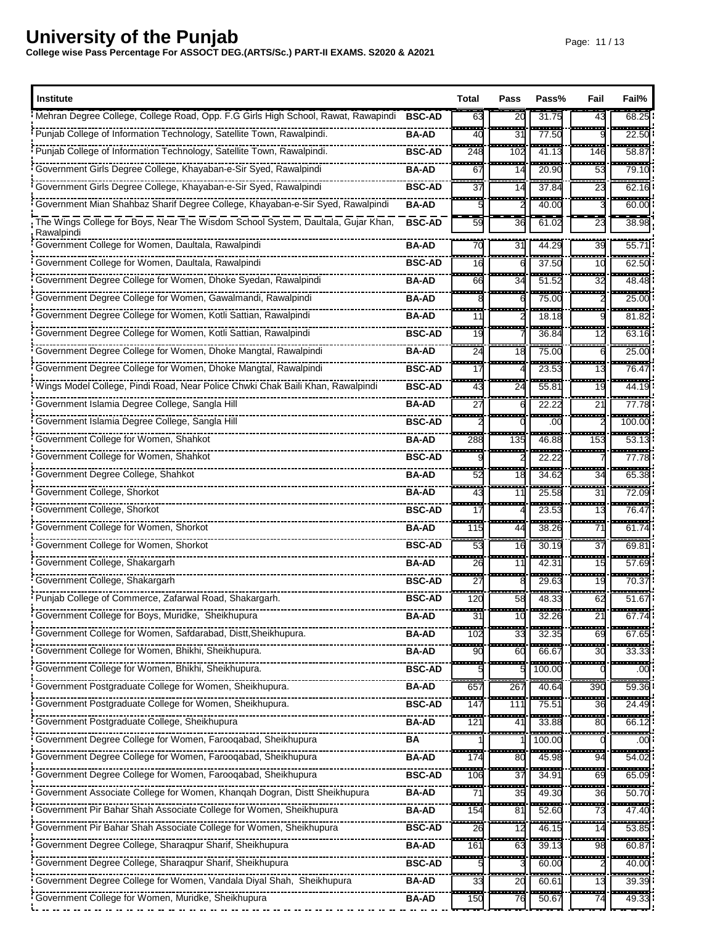| <b>Institute</b>                                                                  |               | Total                     | Pass                    | Pass%              | Fail                           | Fail%                 |
|-----------------------------------------------------------------------------------|---------------|---------------------------|-------------------------|--------------------|--------------------------------|-----------------------|
| Mehran Degree College, College Road, Opp. F.G Girls High School, Rawat, Rawapindi | <b>BSC-AD</b> | 63                        | 20                      | 31.75              | 43                             | 68.25                 |
| Punjab College of Information Technology, Satellite Town, Rawalpindi.             | BA-AD         | m.<br>40                  | a an<br>31              | ------<br>77.50    | -------                        | -----<br>22.50        |
| Punjab College of Information Technology, Satellite Town, Rawalpindi.             | <b>BSC-AD</b> | <b>STAR</b><br>248        | ---<br>102              | 41.13              | 146                            | ------<br>58.87       |
| Government Girls Degree College, Khayaban-e-Sir Syed, Rawalpindi                  | BA-AD         | ÷<br>67                   | --<br>14                | 20.90              | $-$<br>53                      | ----<br>79.10         |
| Government Girls Degree College, Khayaban-e-Sir Syed, Rawalpindi                  | <b>BSC-AD</b> | $\sim$<br>$\overline{37}$ | $-1$<br>14              | ------<br>37.84    | ---<br>23                      | ------<br>62.16       |
| Government Mian Shahbaz Sharif Degree College, Khayaban-e-Sir Syed, Rawalpindi    | <b>BA-AD</b>  | ---                       | ----                    | 40.00              | .                              | -----<br>60.00        |
| The Wings College for Boys, Near The Wisdom School System, Daultala, Gujar Khan,  | <b>BSC-AD</b> | 59                        | 36                      | 61.02              | 23                             | 38.98                 |
| Rawalpindi<br>Government College for Women, Daultala, Rawalpindi                  | <b>BA-AD</b>  | 70                        | 31                      | 44.29              | 39                             | $55.7^{\circ}$        |
| Government College for Women, Daultala, Rawalpindi                                | <b>BSC-AD</b> | ---<br>16                 |                         | $- - - -$<br>37.50 | <br>10                         | ------<br>62.50       |
| Government Degree College for Women, Dhoke Syedan, Rawalpindi                     | <b>BA-AD</b>  | <b>TELE</b><br>66         | ----<br>34              | ------<br>51.52    | -------<br>32                  | ------<br>48.48       |
| Government Degree College for Women, Gawalmandi, Rawalpindi                       | <b>BA-AD</b>  |                           |                         | 75.00              |                                | 25.00                 |
| Government Degree College for Women, Kotli Sattian, Rawalpindi                    | <b>BA-AD</b>  | .<br>11                   |                         | ------<br>18.18    | .                              | ------<br>81.82       |
| Government Degree College for Women, Kotli Sattian, Rawalpindi                    | <b>BSC-AD</b> | فتحت<br>19                |                         | .<br>36.84         | -------<br>12                  | ------<br>63.16       |
| Government Degree College for Women, Dhoke Mangtal, Rawalpindi                    | <b>BA-AD</b>  | ---<br>24                 | ---<br>18               | .<br>75.00         | --------<br>6                  | -----<br>25.00        |
| Government Degree College for Women, Dhoke Mangtal, Rawalpindi                    | <b>BSC-AD</b> | ---<br>17                 |                         | 23.53              | ---<br>13                      | ------<br>76.47       |
| Wings Model College, Pindi Road, Near Police Chwki Chak Baili Khan, Rawalpindi    | <b>BSC-AD</b> | an an<br>43               | <b>The Co</b><br>24     | -----<br>55.81     | <br>19                         | ----<br>44.1          |
| Government Islamia Degree College, Sangla Hill                                    | <b>BA-AD</b>  | 53<br>27                  |                         | 22.22              | ---<br>21                      | -----<br>77.78        |
| Government Islamia Degree College, Sangla Hill                                    | <b>BSC-AD</b> | ---                       |                         | .00                |                                | 100.00                |
| Government College for Women, Shahkot                                             | <b>BA-AD</b>  | ----<br>288               | ----<br>135             | -------<br>46.88   | -----<br>153                   | ------<br>53.1        |
| Government College for Women, Shahkot                                             | <b>BSC-AD</b> | <b>STATE</b>              |                         | 22.22              | -------                        | -----<br>77.7         |
| Government Degree College, Shahkot                                                | <b>BA-AD</b>  | ---<br>52                 | ---<br>18               | 34.62              | $\overline{\phantom{a}}$<br>34 | ------<br>65.38       |
| Government College, Shorkot                                                       | <b>BA-AD</b>  | an a<br>43                | .<br>$1^{\circ}$        | 25.58              | --------<br>31                 | -------<br>72.09      |
| Government College, Shorkot                                                       | <b>BSC-AD</b> | <br>17                    | --------                | ------<br>23.53    | -------<br>13                  | -------<br>76.4       |
| Government College for Women, Shorkot                                             | <b>BA-AD</b>  | .<br>115                  | 44                      | 38.26              | ---<br>71                      | -----<br>61.74        |
| Government College for Women, Shorkot                                             | <b>BSC-AD</b> | .<br>53                   | ---<br>16               | ------<br>30.19    | -------<br>37                  | ------<br>69.8'       |
| Government College, Shakargarh                                                    | <b>BA-AD</b>  | man.<br>26                | -------<br>$\mathbf{1}$ | 42.3'              | --------<br>15                 | ------<br>57.69       |
| Government College, Shakargarh                                                    | <b>BSC-AD</b> | ÷<br>27                   | ----                    | 29.63              | -----<br>19                    | <del>.</del><br>70.37 |
| Funjab College of Commerce, Zafarwal Road, Shakargarh.                            | <b>BSC-AD</b> | 120                       | 58                      | 48.33              | 62                             | 51.67                 |
| Government College for Boys, Muridke, Sheikhupura                                 | <b>BA-AD</b>  | 31                        | 10                      | 32.26              | 21                             | 67.74                 |
|                                                                                   | <b>BA-AD</b>  | 102                       | 33                      | 32.35              | 69                             | 67.65                 |
| Government College for Women, Bhikhi, Sheikhupura.                                | BA-AD         | 90                        | 60                      | 66.67              | ŀ<br>30                        | 33.33                 |
| Government College for Women, Bhikhi, Sheikhupura.                                | <b>BSC-AD</b> |                           |                         | 100.00             |                                | a a s<br>.00          |
| Government Postgraduate College for Women, Sheikhupura.                           | <b>BA-AD</b>  | ----<br>657               | ŀ<br>267                | 40.64              | ----<br>390                    | ------<br>59.36       |
| Government Postgraduate College for Women, Sheikhupura.                           | <b>BSC-AD</b> | 147                       | 11'                     | $\frac{1}{75.57}$  | 36                             | $\frac{1}{24.49}$     |
| Government Postgraduate College, Sheikhupura                                      | BA-AD         | ---<br>121                | H<br>4                  | $- - - -$<br>33.88 | ļ<br>80                        | ------<br>66.12       |
|                                                                                   | BA            |                           |                         | 100.00             |                                | .00                   |
| Government Degree College for Women, Farooqabad, Sheikhupura                      | BA-AD         | 174                       | 80                      | 45.98              | $- - -$<br>94                  | ------<br>54.02       |
| Government Degree College for Women, Farooqabad, Sheikhupura                      | <b>BSC-AD</b> | 106                       | 37                      | 34.91              | 69                             | 65.09                 |
| Government Associate College for Women, Khanqah Dogran, Distt Sheikhupura         | BA-AD         | <b>TEXT</b><br>71         | 35                      | 49.30              | a an a<br>36                   | -----<br>50.70        |
| Government Pir Bahar Shah Associate College for Women, Sheikhupura                | <b>BA-AD</b>  | $- -$<br>154<br>÷.        | 81                      | 52.60              | 73                             | 47.40                 |
| Government Pir Bahar Shah Associate College for Women, Sheikhupura                | <b>BSC-AD</b> | 26<br>i in pr             | 12<br><b>BRA</b>        | 46.15              | 14<br>---                      | 53.85<br>-------      |
| Government Degree College, Sharaqpur Sharif, Sheikhupura                          | <b>BA-AD</b>  | 161                       | 63                      | 39.13              | 98                             | 60.87                 |
| Government Degree College, Sharaqpur Sharif, Sheikhupura                          | <b>BSC-AD</b> |                           |                         | 60.00              | į                              | 40.00                 |
| Government Degree College for Women, Vandala Diyal Shah, Sheikhupura              | <b>BA-AD</b>  | H<br>33                   | ŀ<br>20                 | 60.61              | 13                             | 39.39                 |
| Government College for Women, Muridke, Sheikhupura                                | <b>BA-AD</b>  | ÷<br>150                  | 76                      | 50.67              | 74                             | 49.33                 |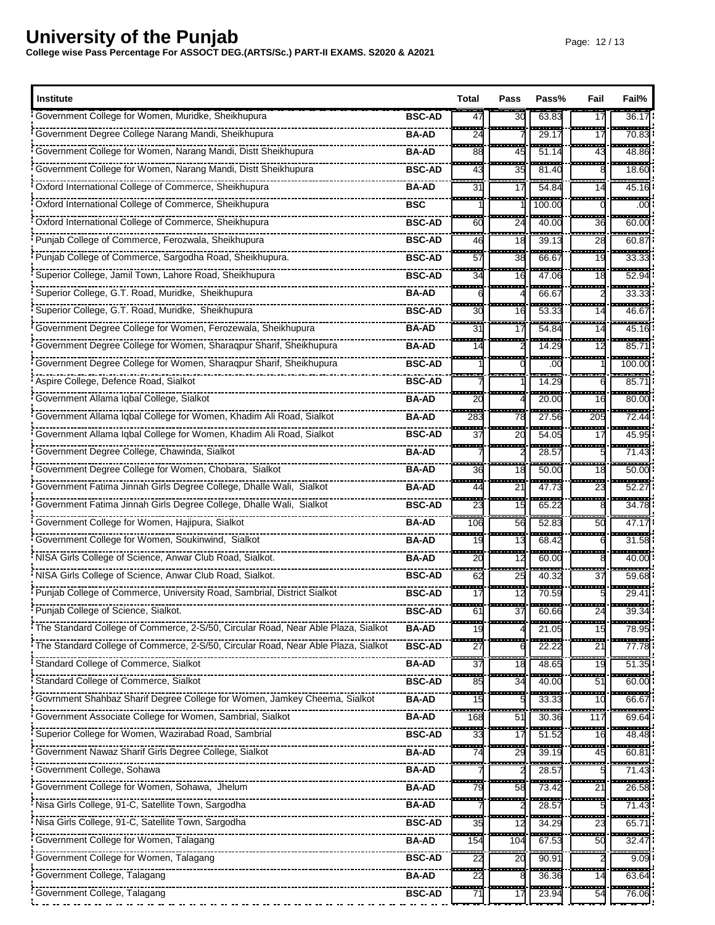| <b>Institute</b>                                                                  |               | Total       | Pass                           | Pass%                 | Fail                   | Fail%                 |
|-----------------------------------------------------------------------------------|---------------|-------------|--------------------------------|-----------------------|------------------------|-----------------------|
| Government College for Women, Muridke, Sheikhupura                                | <b>BSC-AD</b> | 47          | 30                             | 63.83                 | 17                     | 36.1                  |
| Government Degree College Narang Mandi, Sheikhupura                               | <b>BA-AD</b>  | H<br>24     |                                | 29.1                  | 17                     | ------<br>70.83       |
| Government College for Women, Narang Mandi, Distt Sheikhupura                     | <b>BA-AD</b>  | 88          | ---<br>45                      | ------<br>51.14       | --------<br>43         | ------<br>48.86       |
| Government College for Women, Narang Mandi, Distt Sheikhupura                     | <b>BSC-AD</b> | 43          | 35                             | 81.40                 |                        | 18.60                 |
| Oxford International College of Commerce, Sheikhupura                             | <b>BA-AD</b>  | --<br>31    | --<br>17                       | ----<br>54.84         | .<br>14                | ------<br>45.16       |
|                                                                                   | <b>BSC</b>    |             |                                | 100.00                |                        | ------<br>.00         |
| Oxford International College of Commerce, Sheikhupura                             | <b>BSC-AD</b> | ---<br>60   | $\overline{\phantom{a}}$<br>24 | <u>.</u><br>40.00     | <u>manang pa</u><br>36 | ------<br>60.00       |
| Punjab College of Commerce, Ferozwala, Sheikhupura                                | <b>BSC-AD</b> | H<br>46     | 55<br>18                       | $\frac{1}{39.1}$      | Ē<br>28                | ------<br>60.87       |
| Punjab College of Commerce, Sargodha Road, Sheikhupura.                           | <b>BSC-AD</b> | ш.<br>57    | m.<br>38                       | ----<br>66.67         | ------<br>19           | .<br>33.33            |
| Superior College, Jamil Town, Lahore Road, Sheikhupura                            | <b>BSC-AD</b> | 34          | H<br>16                        | 47.06                 | $- - -$<br>18          | ------<br>52.94       |
| Superior College, G.T. Road, Muridke, Sheikhupura                                 | <b>BA-AD</b>  | ---         | .                              | $- - - -$<br>66.67    | -------                | ------<br>33.33       |
| Superior College, G.T. Road, Muridke, Sheikhupura                                 | <b>BSC-AD</b> | a a c<br>30 | 16                             | <b>TELES</b><br>53.33 | .<br>14                | ------<br>46.67       |
| Government Degree College for Women, Ferozewala, Sheikhupura                      | <b>BA-AD</b>  | 553<br>31   | ш.<br>17                       | <del>.</del><br>54.84 | -----<br>14            | ------<br>45.16       |
| Government Degree College for Women, Sharaqpur Sharif, Sheikhupura                | <b>BA-AD</b>  | 14          |                                | 14.29                 | ---<br>12              | -------<br>85.7'      |
| Government Degree College for Women, Sharaqpur Sharif, Sheikhupura                | <b>BSC-AD</b> | ---         |                                | .<br>.00              | <u>.</u>               | <br>100.00            |
| Aspire College, Defence Road, Sialkot                                             | <b>BSC-AD</b> |             |                                | 14.29                 |                        | 85.7'                 |
| Government Allama Iqbal College, Sialkot                                          | <b>BA-AD</b>  | 20          |                                | 20.00                 | ----<br>16             | .<br>80.00            |
| Government Allama Iqbal College for Women, Khadim Ali Road, Sialkot               | <b>BA-AD</b>  | .<br>283    | ---<br>78                      | 27.56                 | -----<br>205           | ------<br>72.44       |
| Government Allama Iqbal College for Women, Khadim Ali Road, Sialkot               | <b>BSC-AD</b> | m.<br>37    | œ<br>20                        | 54.05                 | -----<br>17            | <br>45.95             |
| Government Degree College, Chawinda, Sialkot                                      | <b>BA-AD</b>  | ---         | ---                            | $- - - -$<br>28.5     | --------               | -------<br>71.43      |
| Government Degree College for Women, Chobara, Sialkot                             | <b>BA-AD</b>  | ---<br>36   | ----<br>18                     | 50.00                 | -------<br>18          | ------<br>50.00       |
| Government Fatima Jinnah Girls Degree College, Dhalle Wali, Sialkot               | <b>BA-AD</b>  | man.<br>44  | --------<br>21                 | .<br>47.7             | --------<br>23         | --------<br>52.2      |
| Government Fatima Jinnah Girls Degree College, Dhalle Wali, Sialkot               | <b>BSC-AD</b> | ÷<br>23     | ÷<br>15                        | ----<br>65.22         | ------                 | -----<br>34.78        |
| Government College for Women, Hajipura, Sialkot                                   | <b>BA-AD</b>  | 106         | н.<br>56                       | 52.8                  | 50                     | -----<br>47.17        |
| Government College for Women, Soukinwind, Sialkot                                 | <b>BA-AD</b>  | 19          | m.<br>13                       | 68.42                 | -------                | -----<br>31.58        |
| NISA Girls College of Science, Anwar Club Road, Sialkot.                          | <b>BA-AD</b>  | ---<br>20   | ÷<br>12                        | -----<br>60.00        |                        | <del>.</del><br>40.00 |
| NISA Girls College of Science, Anwar Club Road, Sialkot.                          | <b>BSC-AD</b> | 62          | --<br>25                       | 40.3                  | 37                     | 59.68                 |
| Punjab College of Commerce, University Road, Sambrial, District Sialkot           | <b>BSC-AD</b> | H<br>17     | --<br>12                       | ----<br>70.59         |                        | ------<br>29.41       |
| Punjab College of Science, Sialkot.                                               | <b>BSC-AD</b> | 61          | 37                             | 60.66                 | 24                     | 39.34                 |
| The Standard College of Commerce, 2-S/50, Circular Road, Near Able Plaza, Sialkot | <b>BA-AD</b>  | 19          |                                | 21.05                 | ---<br>15              | 78.95                 |
|                                                                                   | <b>BSC-AD</b> | 27          |                                | 22.22                 | 21                     | <br>77.78             |
|                                                                                   | <b>BA-AD</b>  | ---<br>37   | ш.<br>18                       | .<br>48.65            | --------<br>19         | ------<br>51.35       |
| Standard College of Commerce, Sialkot                                             | <b>BSC-AD</b> | 85          | 34                             | 40.00                 | 51                     | 60.00                 |
| Govrnment Shahbaz Sharif Degree College for Women, Jamkey Cheema, Sialkot         | <b>BA-AD</b>  | щ.<br>15    |                                | $\cdots$<br>33.33     | ----<br>10             | ------<br>66.67       |
| Government Associate College for Women, Sambrial, Sialkot                         | <b>BA-AD</b>  | 168         | 51                             | 30.36                 | 117                    | ------<br>69.64       |
| Superior College for Women, Wazirabad Road, Sambrial                              | <b>BSC-AD</b> | 33          | H<br>17                        | 51.52                 | $- - -$<br>16          | 48.48                 |
| Government Nawaz Sharif Girls Degree College, Sialkot                             | <b>BA-AD</b>  | 74          | 29                             | 39.19                 | 45                     | 60.81                 |
| Government College, Sohawa                                                        | <b>BA-AD</b>  |             |                                | 28.5                  | ------                 | ------<br>71.43       |
| Government College for Women, Sohawa, Jhelum                                      | <b>BA-AD</b>  | 79          | 58                             | 73.42                 | 21                     | 26.58                 |
| Nisa Girls College, 91-C, Satellite Town, Sargodha                                | <b>BA-AD</b>  |             |                                | 28.57                 |                        | <br>71.43             |
| Nisa Girls College, 91-C, Satellite Town, Sargodha                                | <b>BSC-AD</b> | н.<br>35    | <br>12                         | 34.2                  | a a s<br>23            | -------<br>65.7'      |
| Government College for Women, Talagang                                            | <b>BA-AD</b>  | 154         | 104                            | 67.53                 | 50                     | 32.47                 |
| Government College for Women, Talagang                                            | <b>BSC-AD</b> | i<br>22     | 20                             | 90.91                 |                        | -----<br>9.09         |
| Government College, Talagang                                                      | BA-AD         | an a<br>22  | m.                             | 36.36                 | -------<br>14          | .<br>63.64            |
| Government College, Talagang                                                      | <b>BSC-AD</b> | H<br>71     | 17                             | 23.94                 | 54                     | ------<br>76.06       |